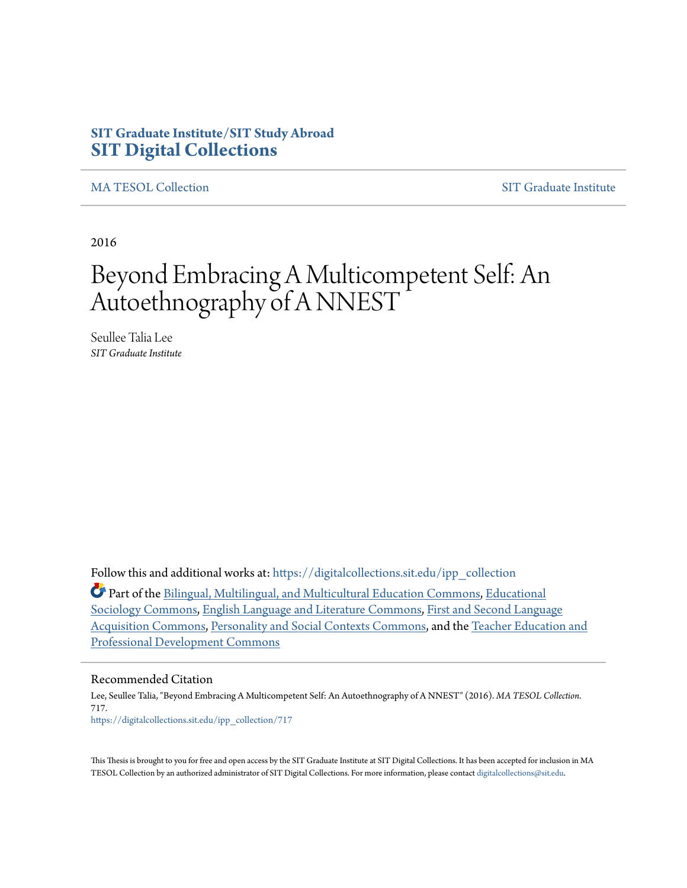### **SIT Graduate Institute/SIT Study Abroad [SIT Digital Collections](https://digitalcollections.sit.edu?utm_source=digitalcollections.sit.edu%2Fipp_collection%2F717&utm_medium=PDF&utm_campaign=PDFCoverPages)**

[MA TESOL Collection](https://digitalcollections.sit.edu/ipp_collection?utm_source=digitalcollections.sit.edu%2Fipp_collection%2F717&utm_medium=PDF&utm_campaign=PDFCoverPages) [SIT Graduate Institute](https://digitalcollections.sit.edu/graduate_institute?utm_source=digitalcollections.sit.edu%2Fipp_collection%2F717&utm_medium=PDF&utm_campaign=PDFCoverPages)

2016

# Beyond Embracing A Multicompetent Self: An Autoethnography of A NNEST

Seullee Talia Lee *SIT Graduate Institute*

Follow this and additional works at: [https://digitalcollections.sit.edu/ipp\\_collection](https://digitalcollections.sit.edu/ipp_collection?utm_source=digitalcollections.sit.edu%2Fipp_collection%2F717&utm_medium=PDF&utm_campaign=PDFCoverPages)

Part of the [Bilingual, Multilingual, and Multicultural Education Commons](http://network.bepress.com/hgg/discipline/785?utm_source=digitalcollections.sit.edu%2Fipp_collection%2F717&utm_medium=PDF&utm_campaign=PDFCoverPages), [Educational](http://network.bepress.com/hgg/discipline/1071?utm_source=digitalcollections.sit.edu%2Fipp_collection%2F717&utm_medium=PDF&utm_campaign=PDFCoverPages) [Sociology Commons,](http://network.bepress.com/hgg/discipline/1071?utm_source=digitalcollections.sit.edu%2Fipp_collection%2F717&utm_medium=PDF&utm_campaign=PDFCoverPages) [English Language and Literature Commons,](http://network.bepress.com/hgg/discipline/455?utm_source=digitalcollections.sit.edu%2Fipp_collection%2F717&utm_medium=PDF&utm_campaign=PDFCoverPages) [First and Second Language](http://network.bepress.com/hgg/discipline/377?utm_source=digitalcollections.sit.edu%2Fipp_collection%2F717&utm_medium=PDF&utm_campaign=PDFCoverPages) [Acquisition Commons](http://network.bepress.com/hgg/discipline/377?utm_source=digitalcollections.sit.edu%2Fipp_collection%2F717&utm_medium=PDF&utm_campaign=PDFCoverPages), [Personality and Social Contexts Commons,](http://network.bepress.com/hgg/discipline/413?utm_source=digitalcollections.sit.edu%2Fipp_collection%2F717&utm_medium=PDF&utm_campaign=PDFCoverPages) and the [Teacher Education and](http://network.bepress.com/hgg/discipline/803?utm_source=digitalcollections.sit.edu%2Fipp_collection%2F717&utm_medium=PDF&utm_campaign=PDFCoverPages) [Professional Development Commons](http://network.bepress.com/hgg/discipline/803?utm_source=digitalcollections.sit.edu%2Fipp_collection%2F717&utm_medium=PDF&utm_campaign=PDFCoverPages)

#### Recommended Citation

Lee, Seullee Talia, "Beyond Embracing A Multicompetent Self: An Autoethnography of A NNEST" (2016). *MA TESOL Collection*. 717. [https://digitalcollections.sit.edu/ipp\\_collection/717](https://digitalcollections.sit.edu/ipp_collection/717?utm_source=digitalcollections.sit.edu%2Fipp_collection%2F717&utm_medium=PDF&utm_campaign=PDFCoverPages)

This Thesis is brought to you for free and open access by the SIT Graduate Institute at SIT Digital Collections. It has been accepted for inclusion in MA TESOL Collection by an authorized administrator of SIT Digital Collections. For more information, please contact [digitalcollections@sit.edu.](mailto:digitalcollections@sit.edu)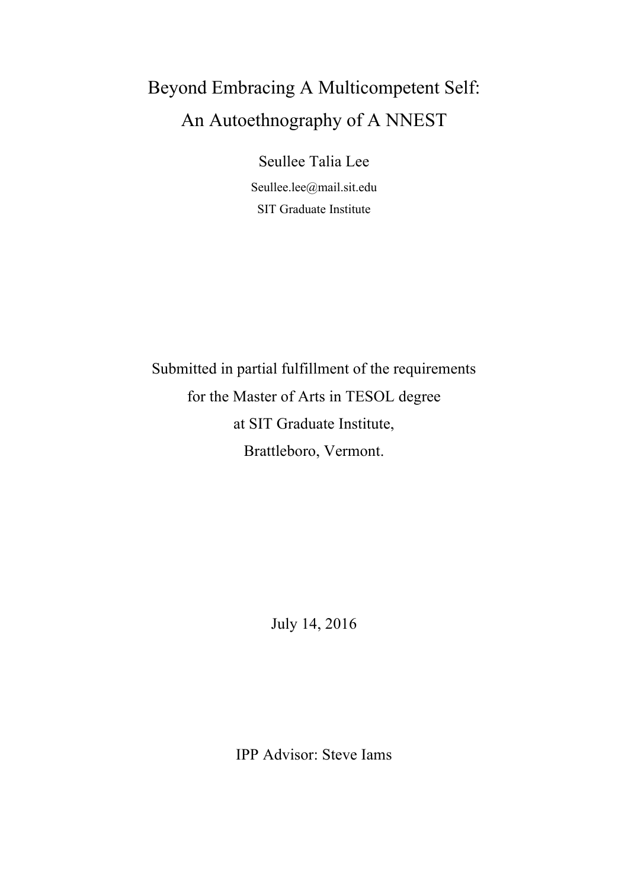# Beyond Embracing A Multicompetent Self: An Autoethnography of A NNEST

Seullee Talia Lee Seullee.lee@mail.sit.edu SIT Graduate Institute

Submitted in partial fulfillment of the requirements for the Master of Arts in TESOL degree at SIT Graduate Institute, Brattleboro, Vermont.

July 14, 2016

IPP Advisor: Steve Iams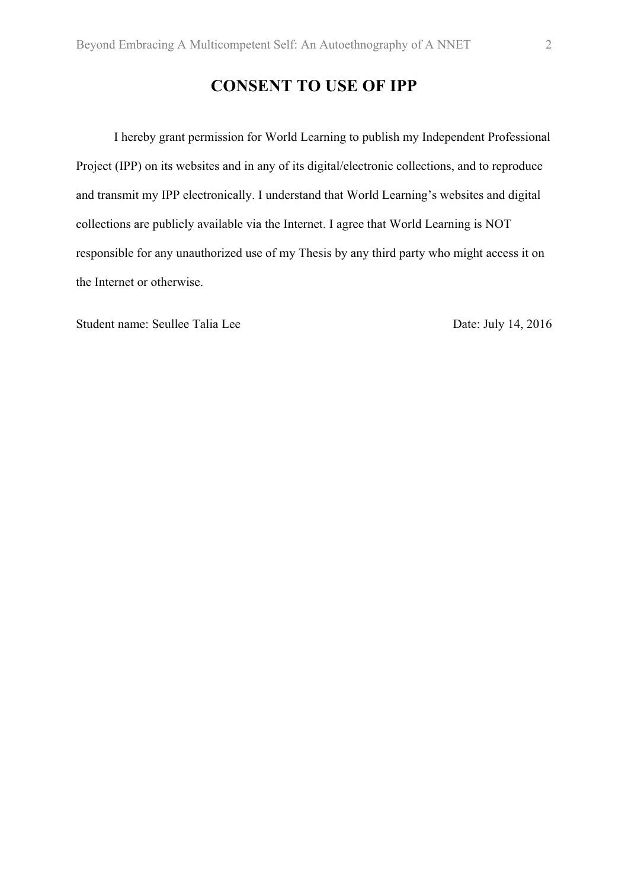# **CONSENT TO USE OF IPP**

I hereby grant permission for World Learning to publish my Independent Professional Project (IPP) on its websites and in any of its digital/electronic collections, and to reproduce and transmit my IPP electronically. I understand that World Learning's websites and digital collections are publicly available via the Internet. I agree that World Learning is NOT responsible for any unauthorized use of my Thesis by any third party who might access it on the Internet or otherwise.

Student name: Seullee Talia Lee Date: July 14, 2016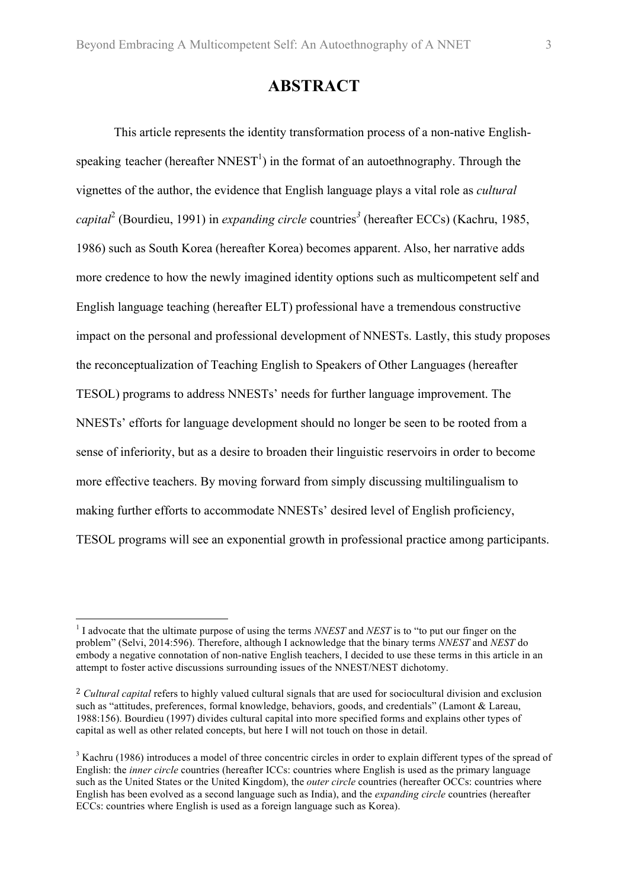#### **ABSTRACT**

This article represents the identity transformation process of a non-native Englishspeaking teacher (hereafter  $NNEST^1$ ) in the format of an autoethnography. Through the vignettes of the author, the evidence that English language plays a vital role as *cultural capital*<sup>2</sup> (Bourdieu, 1991) in *expanding circle* countries*<sup>3</sup>* (hereafter ECCs) (Kachru, 1985, 1986) such as South Korea (hereafter Korea) becomes apparent. Also, her narrative adds more credence to how the newly imagined identity options such as multicompetent self and English language teaching (hereafter ELT) professional have a tremendous constructive impact on the personal and professional development of NNESTs. Lastly, this study proposes the reconceptualization of Teaching English to Speakers of Other Languages (hereafter TESOL) programs to address NNESTs' needs for further language improvement. The NNESTs' efforts for language development should no longer be seen to be rooted from a sense of inferiority, but as a desire to broaden their linguistic reservoirs in order to become more effective teachers. By moving forward from simply discussing multilingualism to making further efforts to accommodate NNESTs' desired level of English proficiency, TESOL programs will see an exponential growth in professional practice among participants.

 <sup>1</sup> I advocate that the ultimate purpose of using the terms *NNEST* and *NEST* is to "to put our finger on the problem" (Selvi, 2014:596). Therefore, although I acknowledge that the binary terms *NNEST* and *NEST* do embody a negative connotation of non-native English teachers, I decided to use these terms in this article in an attempt to foster active discussions surrounding issues of the NNEST/NEST dichotomy.

<sup>&</sup>lt;sup>2</sup> *Cultural capital* refers to highly valued cultural signals that are used for sociocultural division and exclusion such as "attitudes, preferences, formal knowledge, behaviors, goods, and credentials" (Lamont & Lareau, 1988:156). Bourdieu (1997) divides cultural capital into more specified forms and explains other types of capital as well as other related concepts, but here I will not touch on those in detail.

<sup>&</sup>lt;sup>3</sup> Kachru (1986) introduces a model of three concentric circles in order to explain different types of the spread of English: the *inner circle* countries (hereafter ICCs: countries where English is used as the primary language such as the United States or the United Kingdom), the *outer circle* countries (hereafter OCCs: countries where English has been evolved as a second language such as India), and the *expanding circle* countries (hereafter ECCs: countries where English is used as a foreign language such as Korea).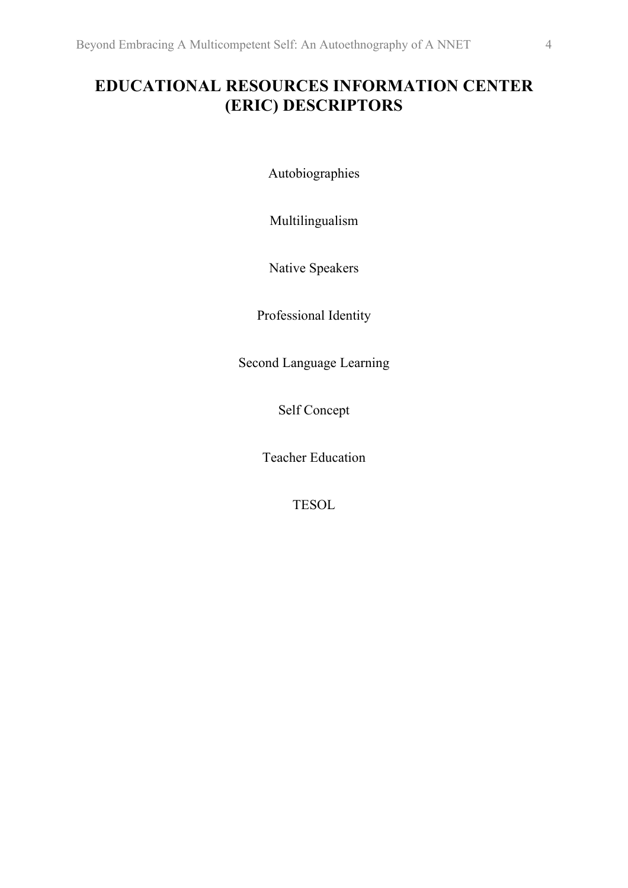# **EDUCATIONAL RESOURCES INFORMATION CENTER (ERIC) DESCRIPTORS**

Autobiographies

Multilingualism

Native Speakers

Professional Identity

Second Language Learning

Self Concept

Teacher Education

TESOL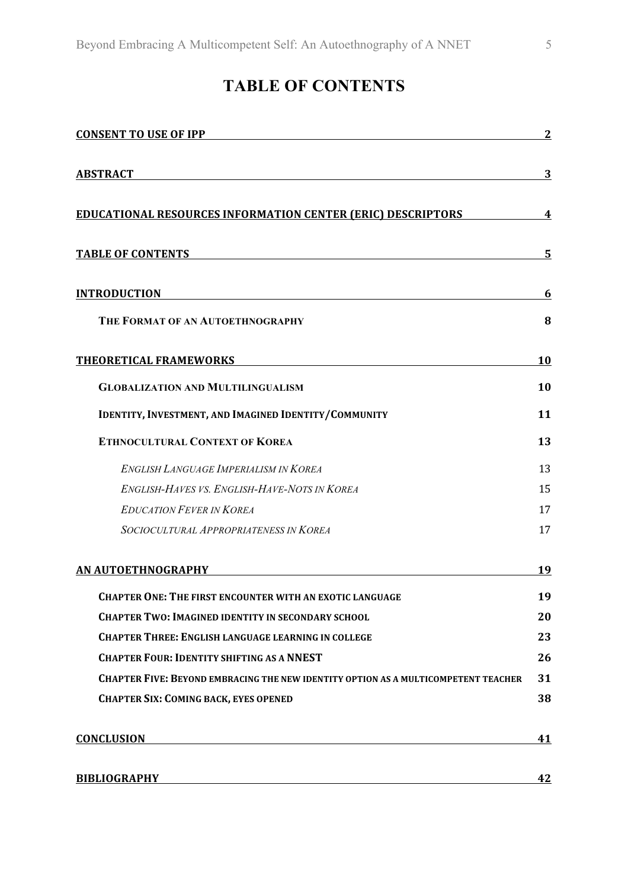# **TABLE OF CONTENTS**

| <b>CONSENT TO USE OF IPP</b>                                                       | $\boldsymbol{2}$ |
|------------------------------------------------------------------------------------|------------------|
| <b>ABSTRACT</b>                                                                    | 3                |
| <b>EDUCATIONAL RESOURCES INFORMATION CENTER (ERIC) DESCRIPTORS</b>                 | 4                |
| <b>TABLE OF CONTENTS</b>                                                           | 5                |
| <b>INTRODUCTION</b><br><u> 1980 - Johann Barn, fransk politik (f. 1980)</u>        | 6                |
| THE FORMAT OF AN AUTOETHNOGRAPHY                                                   | 8                |
| THEORETICAL FRAMEWORKS                                                             | 10               |
| <b>GLOBALIZATION AND MULTILINGUALISM</b>                                           | 10               |
| IDENTITY, INVESTMENT, AND IMAGINED IDENTITY/COMMUNITY                              | 11               |
| <b>ETHNOCULTURAL CONTEXT OF KOREA</b>                                              | 13               |
| <b>ENGLISH LANGUAGE IMPERIALISM IN KOREA</b>                                       | 13               |
| <b>ENGLISH-HAVES VS. ENGLISH-HAVE-NOTS IN KOREA</b>                                | 15               |
| <b>EDUCATION FEVER IN KOREA</b>                                                    | 17               |
| SOCIOCULTURAL APPROPRIATENESS IN KOREA                                             | 17               |
| AN AUTOETHNOGRAPHY                                                                 | 19               |
| <b>CHAPTER ONE: THE FIRST ENCOUNTER WITH AN EXOTIC LANGUAGE</b>                    | 19               |
| <b>CHAPTER TWO: IMAGINED IDENTITY IN SECONDARY SCHOOL</b>                          | 20               |
| <b>CHAPTER THREE: ENGLISH LANGUAGE LEARNING IN COLLEGE</b>                         | 23               |
| <b>CHAPTER FOUR: IDENTITY SHIFTING AS A NNEST</b>                                  | 26               |
| CHAPTER FIVE: BEYOND EMBRACING THE NEW IDENTITY OPTION AS A MULTICOMPETENT TEACHER | 31               |
| <b>CHAPTER SIX: COMING BACK, EYES OPENED</b>                                       | 38               |
| <b>CONCLUSION</b>                                                                  | 41               |
| <b>BIBLIOGRAPHY</b>                                                                | 42               |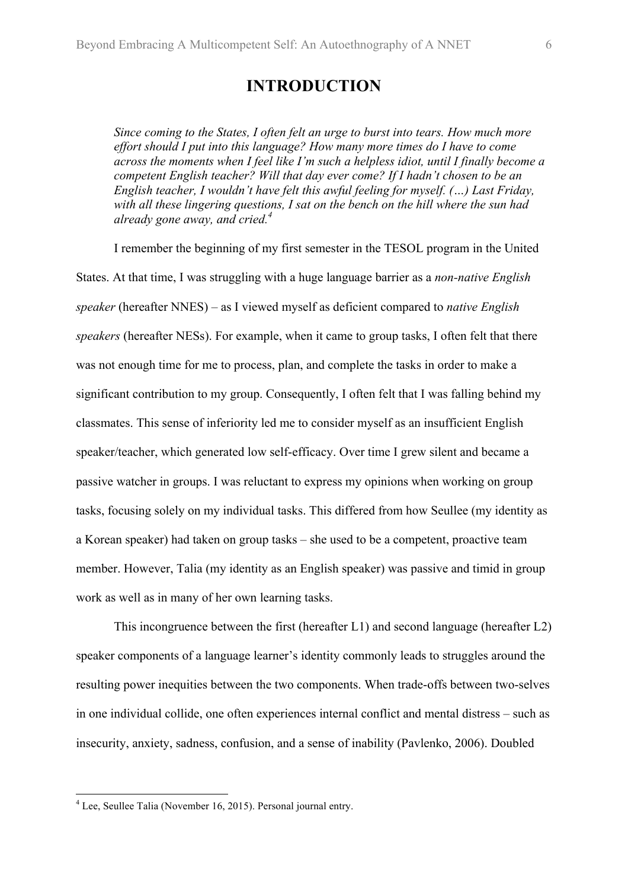### **INTRODUCTION**

*Since coming to the States, I often felt an urge to burst into tears. How much more effort should I put into this language? How many more times do I have to come across the moments when I feel like I'm such a helpless idiot, until I finally become a competent English teacher? Will that day ever come? If I hadn't chosen to be an English teacher, I wouldn't have felt this awful feeling for myself. (…) Last Friday, with all these lingering questions, I sat on the bench on the hill where the sun had already gone away, and cried.4*

I remember the beginning of my first semester in the TESOL program in the United States. At that time, I was struggling with a huge language barrier as a *non-native English speaker* (hereafter NNES) – as I viewed myself as deficient compared to *native English speakers* (hereafter NESs). For example, when it came to group tasks, I often felt that there was not enough time for me to process, plan, and complete the tasks in order to make a significant contribution to my group. Consequently, I often felt that I was falling behind my classmates. This sense of inferiority led me to consider myself as an insufficient English speaker/teacher, which generated low self-efficacy. Over time I grew silent and became a passive watcher in groups. I was reluctant to express my opinions when working on group tasks, focusing solely on my individual tasks. This differed from how Seullee (my identity as a Korean speaker) had taken on group tasks – she used to be a competent, proactive team member. However, Talia (my identity as an English speaker) was passive and timid in group work as well as in many of her own learning tasks.

This incongruence between the first (hereafter L1) and second language (hereafter L2) speaker components of a language learner's identity commonly leads to struggles around the resulting power inequities between the two components. When trade-offs between two-selves in one individual collide, one often experiences internal conflict and mental distress – such as insecurity, anxiety, sadness, confusion, and a sense of inability (Pavlenko, 2006). Doubled

 <sup>4</sup> Lee, Seullee Talia (November 16, 2015). Personal journal entry.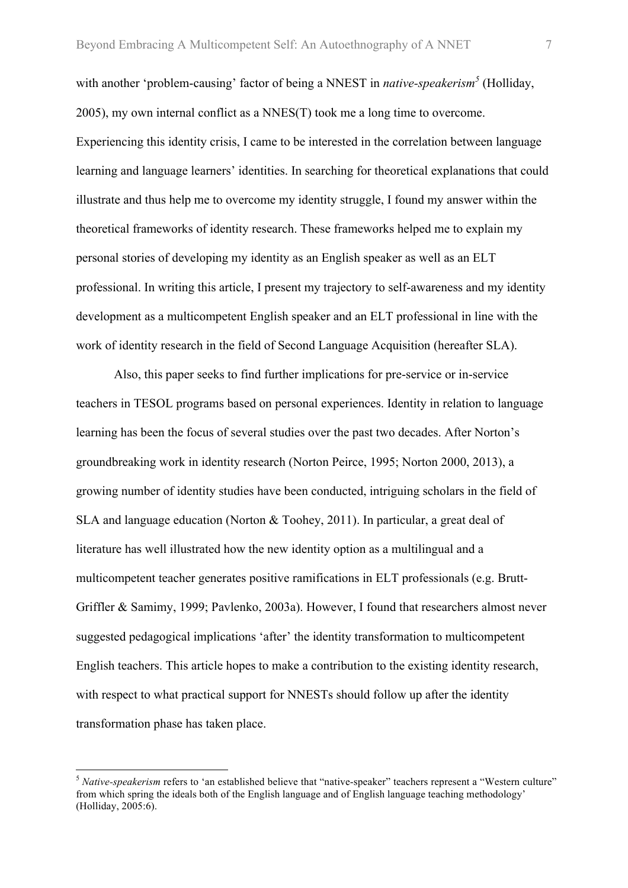with another 'problem-causing' factor of being a NNEST in *native-speakerism<sup>5</sup>* (Holliday, 2005), my own internal conflict as a NNES(T) took me a long time to overcome. Experiencing this identity crisis, I came to be interested in the correlation between language learning and language learners' identities. In searching for theoretical explanations that could illustrate and thus help me to overcome my identity struggle, I found my answer within the theoretical frameworks of identity research. These frameworks helped me to explain my personal stories of developing my identity as an English speaker as well as an ELT professional. In writing this article, I present my trajectory to self-awareness and my identity development as a multicompetent English speaker and an ELT professional in line with the work of identity research in the field of Second Language Acquisition (hereafter SLA).

Also, this paper seeks to find further implications for pre-service or in-service teachers in TESOL programs based on personal experiences. Identity in relation to language learning has been the focus of several studies over the past two decades. After Norton's groundbreaking work in identity research (Norton Peirce, 1995; Norton 2000, 2013), a growing number of identity studies have been conducted, intriguing scholars in the field of SLA and language education (Norton & Toohey, 2011). In particular, a great deal of literature has well illustrated how the new identity option as a multilingual and a multicompetent teacher generates positive ramifications in ELT professionals (e.g. Brutt-Griffler & Samimy, 1999; Pavlenko, 2003a). However, I found that researchers almost never suggested pedagogical implications 'after' the identity transformation to multicompetent English teachers. This article hopes to make a contribution to the existing identity research, with respect to what practical support for NNESTs should follow up after the identity transformation phase has taken place.

 <sup>5</sup> *Native-speakerism* refers to 'an established believe that "native-speaker" teachers represent a "Western culture" from which spring the ideals both of the English language and of English language teaching methodology' (Holliday, 2005:6).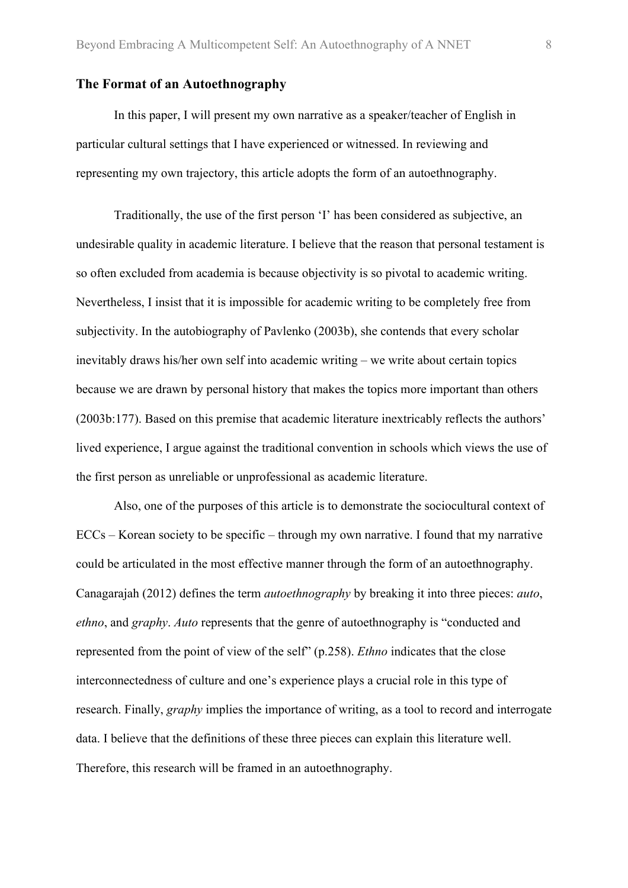#### **The Format of an Autoethnography**

In this paper, I will present my own narrative as a speaker/teacher of English in particular cultural settings that I have experienced or witnessed. In reviewing and representing my own trajectory, this article adopts the form of an autoethnography.

Traditionally, the use of the first person 'I' has been considered as subjective, an undesirable quality in academic literature. I believe that the reason that personal testament is so often excluded from academia is because objectivity is so pivotal to academic writing. Nevertheless, I insist that it is impossible for academic writing to be completely free from subjectivity. In the autobiography of Pavlenko (2003b), she contends that every scholar inevitably draws his/her own self into academic writing – we write about certain topics because we are drawn by personal history that makes the topics more important than others (2003b:177). Based on this premise that academic literature inextricably reflects the authors' lived experience, I argue against the traditional convention in schools which views the use of the first person as unreliable or unprofessional as academic literature.

Also, one of the purposes of this article is to demonstrate the sociocultural context of ECCs – Korean society to be specific – through my own narrative. I found that my narrative could be articulated in the most effective manner through the form of an autoethnography. Canagarajah (2012) defines the term *autoethnography* by breaking it into three pieces: *auto*, *ethno*, and *graphy*. *Auto* represents that the genre of autoethnography is "conducted and represented from the point of view of the self" (p.258). *Ethno* indicates that the close interconnectedness of culture and one's experience plays a crucial role in this type of research. Finally, *graphy* implies the importance of writing, as a tool to record and interrogate data. I believe that the definitions of these three pieces can explain this literature well. Therefore, this research will be framed in an autoethnography.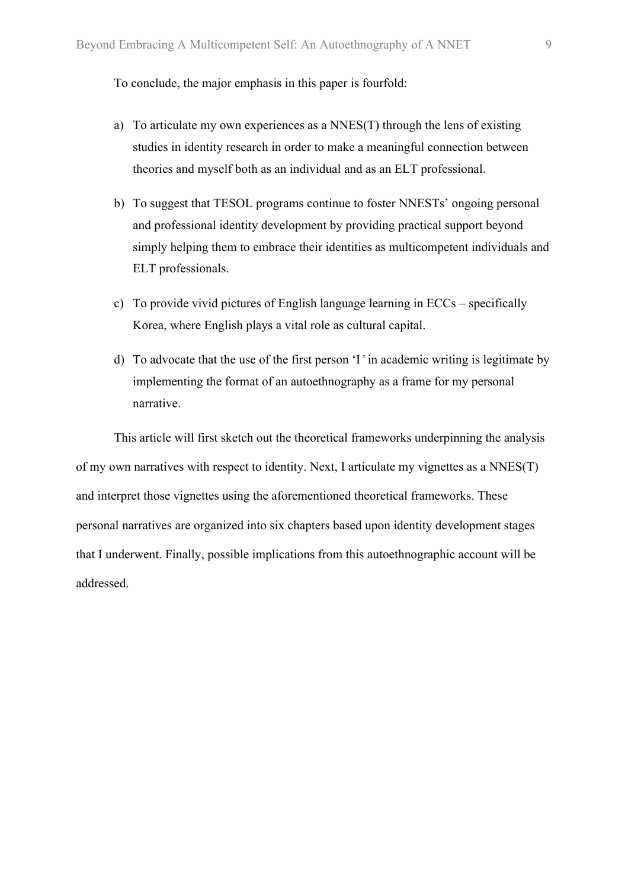To conclude, the major emphasis in this paper is fourfold:

- a) To articulate my own experiences as a NNES(T) through the lens of existing studies in identity research in order to make a meaningful connection between theories and myself both as an individual and as an ELT professional.
- b) To suggest that TESOL programs continue to foster NNESTs' ongoing personal and professional identity development by providing practical support beyond simply helping them to embrace their identities as multicompetent individuals and ELT professionals.
- c) To provide vivid pictures of English language learning in ECCs specifically Korea, where English plays a vital role as cultural capital.
- d) To advocate that the use of the first person 'I*'* in academic writing is legitimate by implementing the format of an autoethnography as a frame for my personal narrative.

This article will first sketch out the theoretical frameworks underpinning the analysis of my own narratives with respect to identity. Next, I articulate my vignettes as a NNES(T) and interpret those vignettes using the aforementioned theoretical frameworks. These personal narratives are organized into six chapters based upon identity development stages that I underwent. Finally, possible implications from this autoethnographic account will be addressed.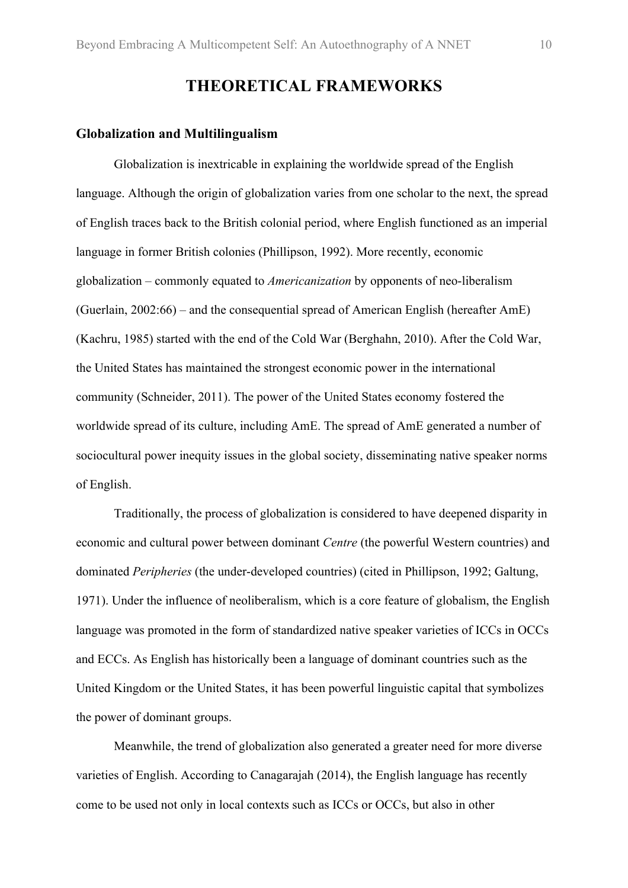# **THEORETICAL FRAMEWORKS**

#### **Globalization and Multilingualism**

Globalization is inextricable in explaining the worldwide spread of the English language. Although the origin of globalization varies from one scholar to the next, the spread of English traces back to the British colonial period, where English functioned as an imperial language in former British colonies (Phillipson, 1992). More recently, economic globalization – commonly equated to *Americanization* by opponents of neo-liberalism (Guerlain, 2002:66) – and the consequential spread of American English (hereafter AmE) (Kachru, 1985) started with the end of the Cold War (Berghahn, 2010). After the Cold War, the United States has maintained the strongest economic power in the international community (Schneider, 2011). The power of the United States economy fostered the worldwide spread of its culture, including AmE. The spread of AmE generated a number of sociocultural power inequity issues in the global society, disseminating native speaker norms of English.

Traditionally, the process of globalization is considered to have deepened disparity in economic and cultural power between dominant *Centre* (the powerful Western countries) and dominated *Peripheries* (the under-developed countries) (cited in Phillipson, 1992; Galtung, 1971). Under the influence of neoliberalism, which is a core feature of globalism, the English language was promoted in the form of standardized native speaker varieties of ICCs in OCCs and ECCs. As English has historically been a language of dominant countries such as the United Kingdom or the United States, it has been powerful linguistic capital that symbolizes the power of dominant groups.

Meanwhile, the trend of globalization also generated a greater need for more diverse varieties of English. According to Canagarajah (2014), the English language has recently come to be used not only in local contexts such as ICCs or OCCs, but also in other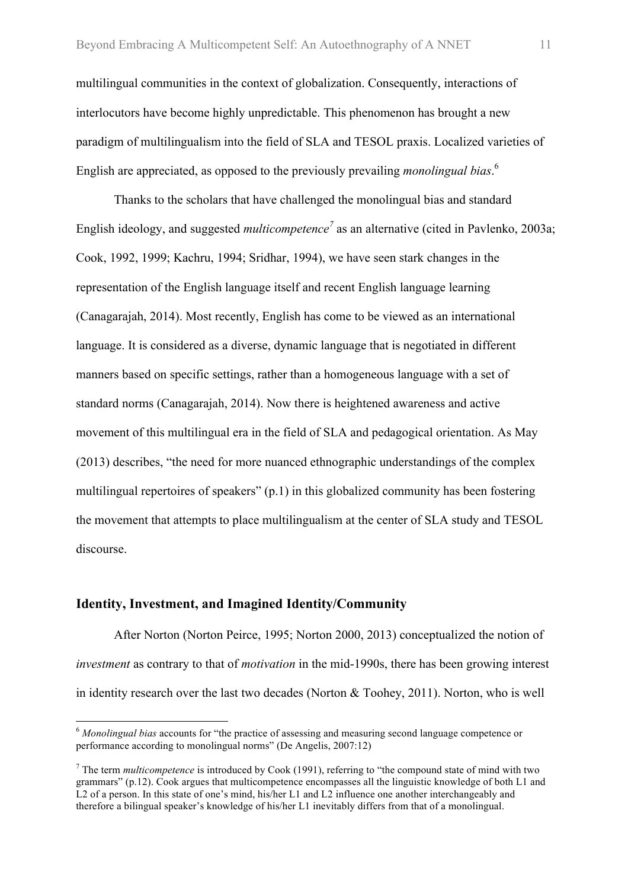multilingual communities in the context of globalization. Consequently, interactions of interlocutors have become highly unpredictable. This phenomenon has brought a new paradigm of multilingualism into the field of SLA and TESOL praxis. Localized varieties of English are appreciated, as opposed to the previously prevailing *monolingual bias*. 6

Thanks to the scholars that have challenged the monolingual bias and standard English ideology, and suggested *multicompetence<sup>7</sup>* as an alternative (cited in Pavlenko, 2003a; Cook, 1992, 1999; Kachru, 1994; Sridhar, 1994), we have seen stark changes in the representation of the English language itself and recent English language learning (Canagarajah, 2014). Most recently, English has come to be viewed as an international language. It is considered as a diverse, dynamic language that is negotiated in different manners based on specific settings, rather than a homogeneous language with a set of standard norms (Canagarajah, 2014). Now there is heightened awareness and active movement of this multilingual era in the field of SLA and pedagogical orientation. As May (2013) describes, "the need for more nuanced ethnographic understandings of the complex multilingual repertoires of speakers" (p.1) in this globalized community has been fostering the movement that attempts to place multilingualism at the center of SLA study and TESOL discourse.

#### **Identity, Investment, and Imagined Identity/Community**

After Norton (Norton Peirce, 1995; Norton 2000, 2013) conceptualized the notion of *investment* as contrary to that of *motivation* in the mid-1990s, there has been growing interest in identity research over the last two decades (Norton & Toohey, 2011). Norton, who is well

 <sup>6</sup> *Monolingual bias* accounts for "the practice of assessing and measuring second language competence or performance according to monolingual norms" (De Angelis, 2007:12)

<sup>7</sup> The term *multicompetence* is introduced by Cook (1991), referring to "the compound state of mind with two grammars" (p.12). Cook argues that multicompetence encompasses all the linguistic knowledge of both L1 and L2 of a person. In this state of one's mind, his/her L1 and L2 influence one another interchangeably and therefore a bilingual speaker's knowledge of his/her L1 inevitably differs from that of a monolingual.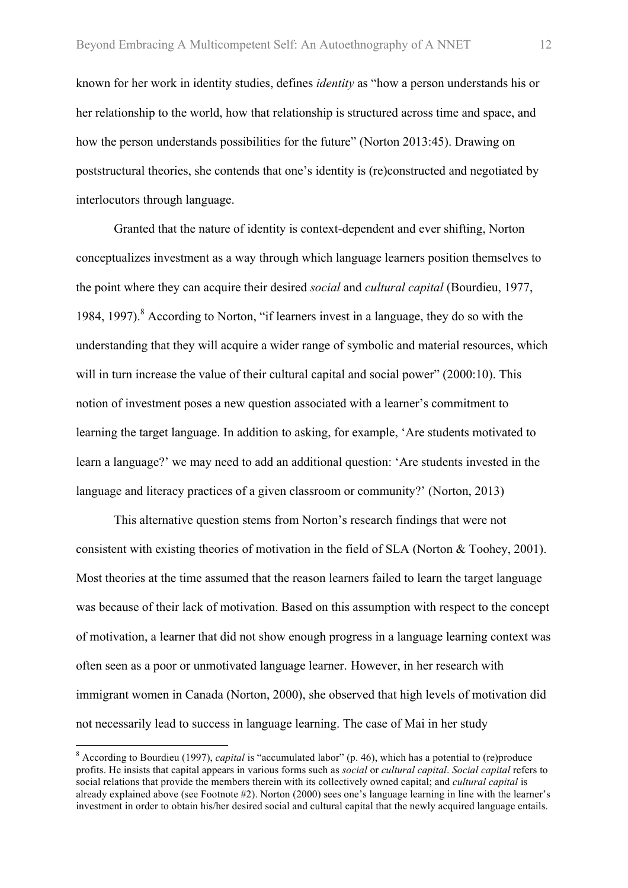known for her work in identity studies, defines *identity* as "how a person understands his or her relationship to the world, how that relationship is structured across time and space, and how the person understands possibilities for the future" (Norton 2013:45). Drawing on poststructural theories, she contends that one's identity is (re)constructed and negotiated by interlocutors through language.

Granted that the nature of identity is context-dependent and ever shifting, Norton conceptualizes investment as a way through which language learners position themselves to the point where they can acquire their desired *social* and *cultural capital* (Bourdieu, 1977, 1984, 1997). <sup>8</sup> According to Norton, "if learners invest in a language, they do so with the understanding that they will acquire a wider range of symbolic and material resources, which will in turn increase the value of their cultural capital and social power" (2000:10). This notion of investment poses a new question associated with a learner's commitment to learning the target language. In addition to asking, for example, 'Are students motivated to learn a language?' we may need to add an additional question: 'Are students invested in the language and literacy practices of a given classroom or community?' (Norton, 2013)

This alternative question stems from Norton's research findings that were not consistent with existing theories of motivation in the field of SLA (Norton & Toohey, 2001). Most theories at the time assumed that the reason learners failed to learn the target language was because of their lack of motivation. Based on this assumption with respect to the concept of motivation, a learner that did not show enough progress in a language learning context was often seen as a poor or unmotivated language learner. However, in her research with immigrant women in Canada (Norton, 2000), she observed that high levels of motivation did not necessarily lead to success in language learning. The case of Mai in her study

 <sup>8</sup> According to Bourdieu (1997), *capital* is "accumulated labor" (p. 46), which has a potential to (re)produce profits. He insists that capital appears in various forms such as *social* or *cultural capital*. *Social capital* refers to social relations that provide the members therein with its collectively owned capital; and *cultural capital* is already explained above (see Footnote #2). Norton (2000) sees one's language learning in line with the learner's investment in order to obtain his/her desired social and cultural capital that the newly acquired language entails.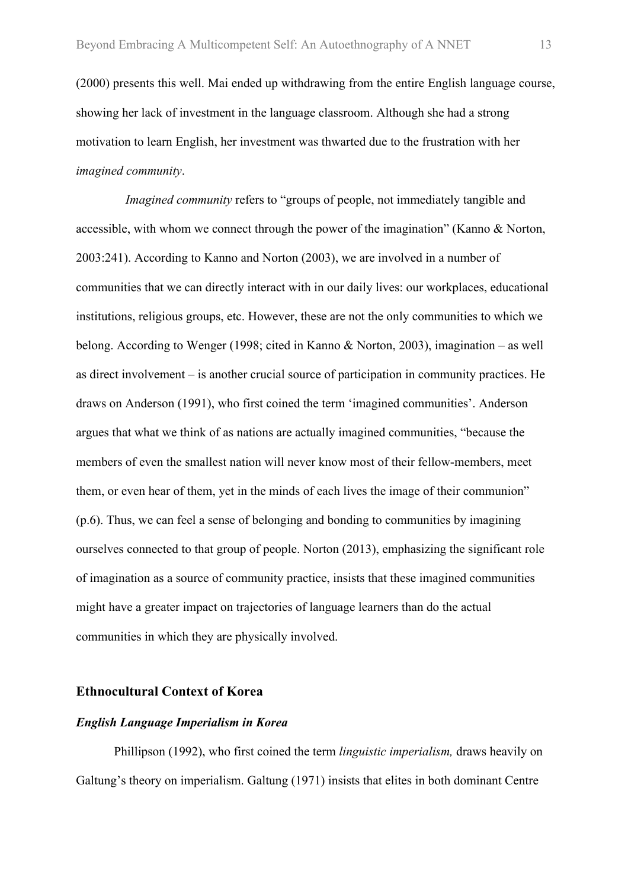(2000) presents this well. Mai ended up withdrawing from the entire English language course, showing her lack of investment in the language classroom. Although she had a strong motivation to learn English, her investment was thwarted due to the frustration with her *imagined community*.

*Imagined community* refers to "groups of people, not immediately tangible and accessible, with whom we connect through the power of the imagination" (Kanno & Norton, 2003:241). According to Kanno and Norton (2003), we are involved in a number of communities that we can directly interact with in our daily lives: our workplaces, educational institutions, religious groups, etc. However, these are not the only communities to which we belong. According to Wenger (1998; cited in Kanno & Norton, 2003), imagination – as well as direct involvement – is another crucial source of participation in community practices. He draws on Anderson (1991), who first coined the term 'imagined communities'. Anderson argues that what we think of as nations are actually imagined communities, "because the members of even the smallest nation will never know most of their fellow-members, meet them, or even hear of them, yet in the minds of each lives the image of their communion" (p.6). Thus, we can feel a sense of belonging and bonding to communities by imagining ourselves connected to that group of people. Norton (2013), emphasizing the significant role of imagination as a source of community practice, insists that these imagined communities might have a greater impact on trajectories of language learners than do the actual communities in which they are physically involved.

#### **Ethnocultural Context of Korea**

#### *English Language Imperialism in Korea*

Phillipson (1992), who first coined the term *linguistic imperialism,* draws heavily on Galtung's theory on imperialism. Galtung (1971) insists that elites in both dominant Centre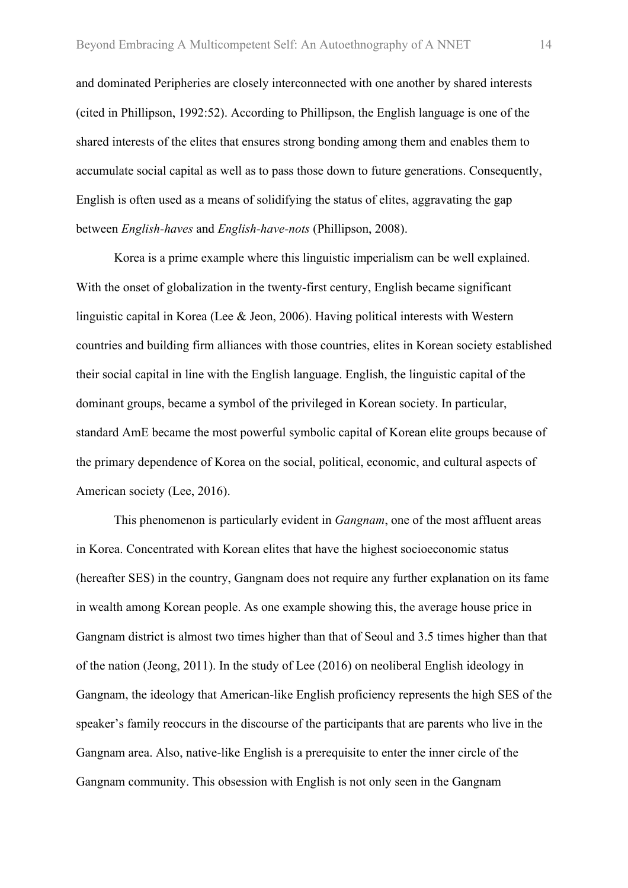and dominated Peripheries are closely interconnected with one another by shared interests (cited in Phillipson, 1992:52). According to Phillipson, the English language is one of the shared interests of the elites that ensures strong bonding among them and enables them to accumulate social capital as well as to pass those down to future generations. Consequently, English is often used as a means of solidifying the status of elites, aggravating the gap between *English-haves* and *English-have-nots* (Phillipson, 2008).

Korea is a prime example where this linguistic imperialism can be well explained. With the onset of globalization in the twenty-first century, English became significant linguistic capital in Korea (Lee & Jeon, 2006). Having political interests with Western countries and building firm alliances with those countries, elites in Korean society established their social capital in line with the English language. English, the linguistic capital of the dominant groups, became a symbol of the privileged in Korean society. In particular, standard AmE became the most powerful symbolic capital of Korean elite groups because of the primary dependence of Korea on the social, political, economic, and cultural aspects of American society (Lee, 2016).

This phenomenon is particularly evident in *Gangnam*, one of the most affluent areas in Korea. Concentrated with Korean elites that have the highest socioeconomic status (hereafter SES) in the country, Gangnam does not require any further explanation on its fame in wealth among Korean people. As one example showing this, the average house price in Gangnam district is almost two times higher than that of Seoul and 3.5 times higher than that of the nation (Jeong, 2011). In the study of Lee (2016) on neoliberal English ideology in Gangnam, the ideology that American-like English proficiency represents the high SES of the speaker's family reoccurs in the discourse of the participants that are parents who live in the Gangnam area. Also, native-like English is a prerequisite to enter the inner circle of the Gangnam community. This obsession with English is not only seen in the Gangnam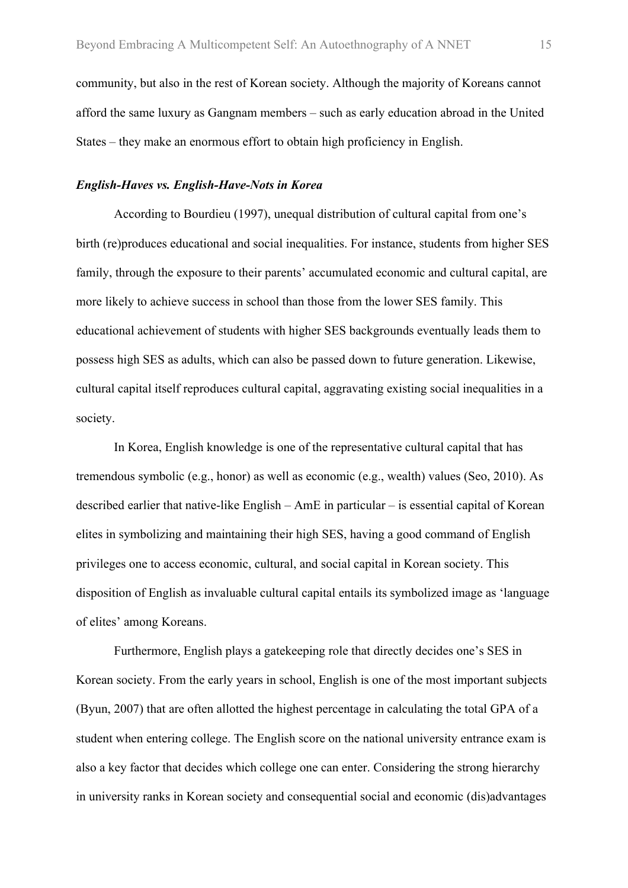community, but also in the rest of Korean society. Although the majority of Koreans cannot afford the same luxury as Gangnam members – such as early education abroad in the United States – they make an enormous effort to obtain high proficiency in English.

#### *English-Haves vs. English-Have-Nots in Korea*

According to Bourdieu (1997), unequal distribution of cultural capital from one's birth (re)produces educational and social inequalities. For instance, students from higher SES family, through the exposure to their parents' accumulated economic and cultural capital, are more likely to achieve success in school than those from the lower SES family. This educational achievement of students with higher SES backgrounds eventually leads them to possess high SES as adults, which can also be passed down to future generation. Likewise, cultural capital itself reproduces cultural capital, aggravating existing social inequalities in a society.

In Korea, English knowledge is one of the representative cultural capital that has tremendous symbolic (e.g., honor) as well as economic (e.g., wealth) values (Seo, 2010). As described earlier that native-like English – AmE in particular – is essential capital of Korean elites in symbolizing and maintaining their high SES, having a good command of English privileges one to access economic, cultural, and social capital in Korean society. This disposition of English as invaluable cultural capital entails its symbolized image as 'language of elites' among Koreans.

Furthermore, English plays a gatekeeping role that directly decides one's SES in Korean society. From the early years in school, English is one of the most important subjects (Byun, 2007) that are often allotted the highest percentage in calculating the total GPA of a student when entering college. The English score on the national university entrance exam is also a key factor that decides which college one can enter. Considering the strong hierarchy in university ranks in Korean society and consequential social and economic (dis)advantages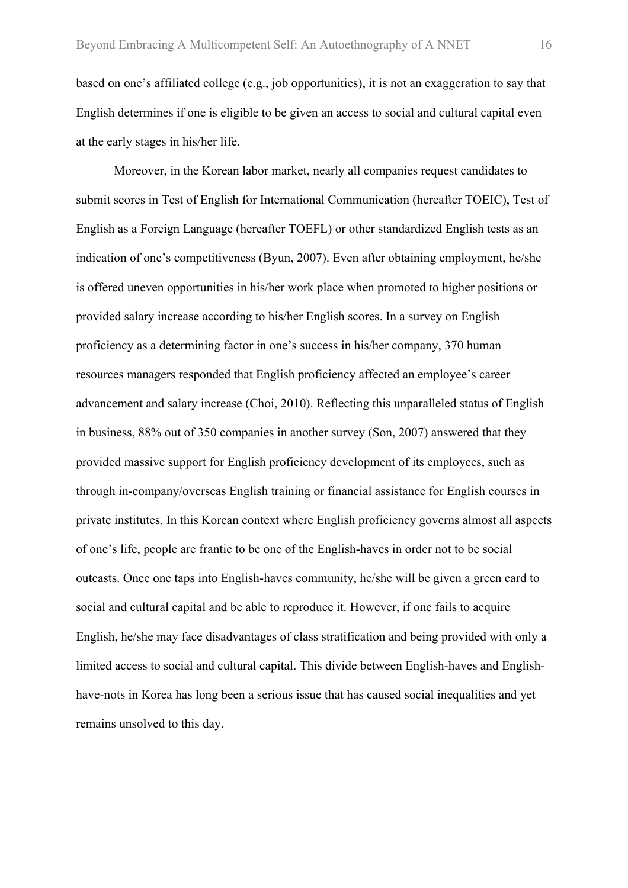based on one's affiliated college (e.g., job opportunities), it is not an exaggeration to say that English determines if one is eligible to be given an access to social and cultural capital even at the early stages in his/her life.

Moreover, in the Korean labor market, nearly all companies request candidates to submit scores in Test of English for International Communication (hereafter TOEIC), Test of English as a Foreign Language (hereafter TOEFL) or other standardized English tests as an indication of one's competitiveness (Byun, 2007). Even after obtaining employment, he/she is offered uneven opportunities in his/her work place when promoted to higher positions or provided salary increase according to his/her English scores. In a survey on English proficiency as a determining factor in one's success in his/her company, 370 human resources managers responded that English proficiency affected an employee's career advancement and salary increase (Choi, 2010). Reflecting this unparalleled status of English in business, 88% out of 350 companies in another survey (Son, 2007) answered that they provided massive support for English proficiency development of its employees, such as through in-company/overseas English training or financial assistance for English courses in private institutes. In this Korean context where English proficiency governs almost all aspects of one's life, people are frantic to be one of the English-haves in order not to be social outcasts. Once one taps into English-haves community, he/she will be given a green card to social and cultural capital and be able to reproduce it. However, if one fails to acquire English, he/she may face disadvantages of class stratification and being provided with only a limited access to social and cultural capital. This divide between English-haves and Englishhave-nots in Korea has long been a serious issue that has caused social inequalities and yet remains unsolved to this day.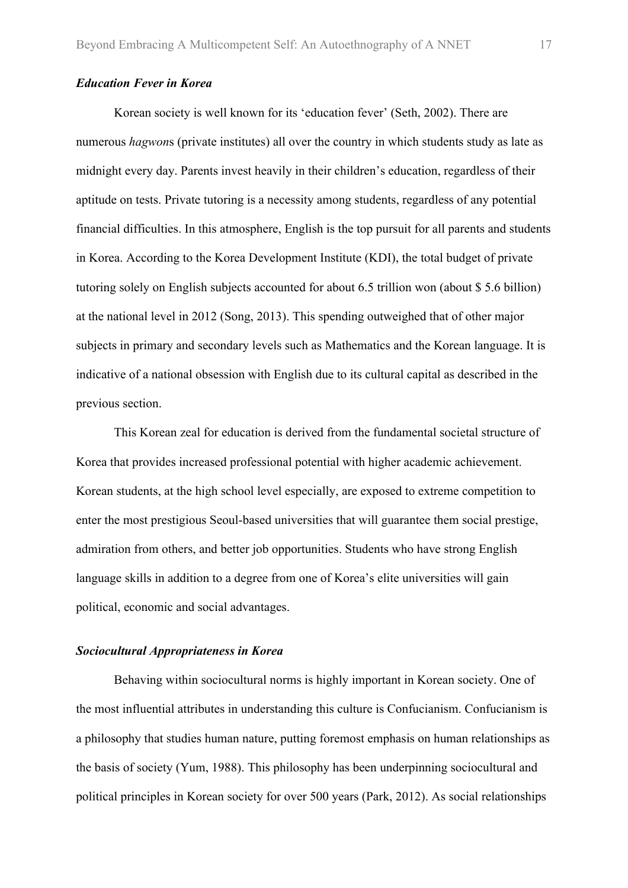#### *Education Fever in Korea*

Korean society is well known for its 'education fever' (Seth, 2002). There are numerous *hagwon*s (private institutes) all over the country in which students study as late as midnight every day. Parents invest heavily in their children's education, regardless of their aptitude on tests. Private tutoring is a necessity among students, regardless of any potential financial difficulties. In this atmosphere, English is the top pursuit for all parents and students in Korea. According to the Korea Development Institute (KDI), the total budget of private tutoring solely on English subjects accounted for about 6.5 trillion won (about \$ 5.6 billion) at the national level in 2012 (Song, 2013). This spending outweighed that of other major subjects in primary and secondary levels such as Mathematics and the Korean language. It is indicative of a national obsession with English due to its cultural capital as described in the previous section.

This Korean zeal for education is derived from the fundamental societal structure of Korea that provides increased professional potential with higher academic achievement. Korean students, at the high school level especially, are exposed to extreme competition to enter the most prestigious Seoul-based universities that will guarantee them social prestige, admiration from others, and better job opportunities. Students who have strong English language skills in addition to a degree from one of Korea's elite universities will gain political, economic and social advantages.

#### *Sociocultural Appropriateness in Korea*

Behaving within sociocultural norms is highly important in Korean society. One of the most influential attributes in understanding this culture is Confucianism. Confucianism is a philosophy that studies human nature, putting foremost emphasis on human relationships as the basis of society (Yum, 1988). This philosophy has been underpinning sociocultural and political principles in Korean society for over 500 years (Park, 2012). As social relationships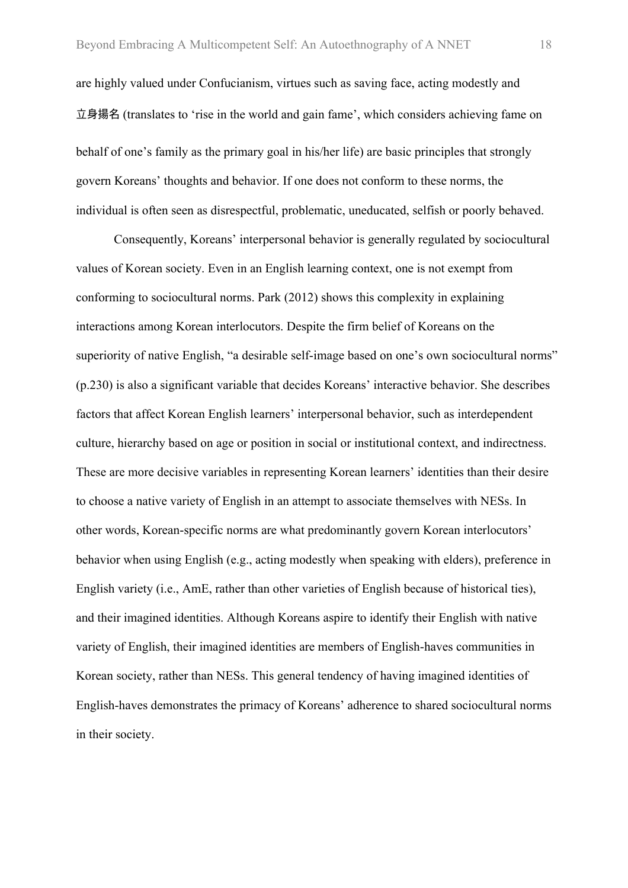are highly valued under Confucianism, virtues such as saving face, acting modestly and 立身揚名 (translates to 'rise in the world and gain fame', which considers achieving fame on behalf of one's family as the primary goal in his/her life) are basic principles that strongly govern Koreans' thoughts and behavior. If one does not conform to these norms, the individual is often seen as disrespectful, problematic, uneducated, selfish or poorly behaved.

Consequently, Koreans' interpersonal behavior is generally regulated by sociocultural values of Korean society. Even in an English learning context, one is not exempt from conforming to sociocultural norms. Park (2012) shows this complexity in explaining interactions among Korean interlocutors. Despite the firm belief of Koreans on the superiority of native English, "a desirable self-image based on one's own sociocultural norms" (p.230) is also a significant variable that decides Koreans' interactive behavior. She describes factors that affect Korean English learners' interpersonal behavior, such as interdependent culture, hierarchy based on age or position in social or institutional context, and indirectness. These are more decisive variables in representing Korean learners' identities than their desire to choose a native variety of English in an attempt to associate themselves with NESs. In other words, Korean-specific norms are what predominantly govern Korean interlocutors' behavior when using English (e.g., acting modestly when speaking with elders), preference in English variety (i.e., AmE, rather than other varieties of English because of historical ties), and their imagined identities. Although Koreans aspire to identify their English with native variety of English, their imagined identities are members of English-haves communities in Korean society, rather than NESs. This general tendency of having imagined identities of English-haves demonstrates the primacy of Koreans' adherence to shared sociocultural norms in their society.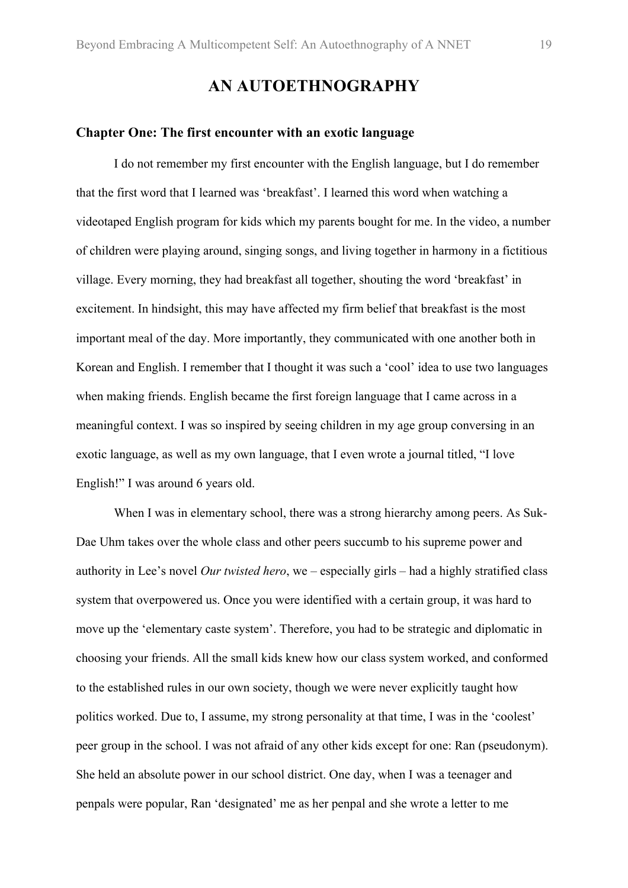## **AN AUTOETHNOGRAPHY**

#### **Chapter One: The first encounter with an exotic language**

I do not remember my first encounter with the English language, but I do remember that the first word that I learned was 'breakfast'. I learned this word when watching a videotaped English program for kids which my parents bought for me. In the video, a number of children were playing around, singing songs, and living together in harmony in a fictitious village. Every morning, they had breakfast all together, shouting the word 'breakfast' in excitement. In hindsight, this may have affected my firm belief that breakfast is the most important meal of the day. More importantly, they communicated with one another both in Korean and English. I remember that I thought it was such a 'cool' idea to use two languages when making friends. English became the first foreign language that I came across in a meaningful context. I was so inspired by seeing children in my age group conversing in an exotic language, as well as my own language, that I even wrote a journal titled, "I love English!" I was around 6 years old.

When I was in elementary school, there was a strong hierarchy among peers. As Suk-Dae Uhm takes over the whole class and other peers succumb to his supreme power and authority in Lee's novel *Our twisted hero*, we – especially girls – had a highly stratified class system that overpowered us. Once you were identified with a certain group, it was hard to move up the 'elementary caste system'. Therefore, you had to be strategic and diplomatic in choosing your friends. All the small kids knew how our class system worked, and conformed to the established rules in our own society, though we were never explicitly taught how politics worked. Due to, I assume, my strong personality at that time, I was in the 'coolest' peer group in the school. I was not afraid of any other kids except for one: Ran (pseudonym). She held an absolute power in our school district. One day, when I was a teenager and penpals were popular, Ran 'designated' me as her penpal and she wrote a letter to me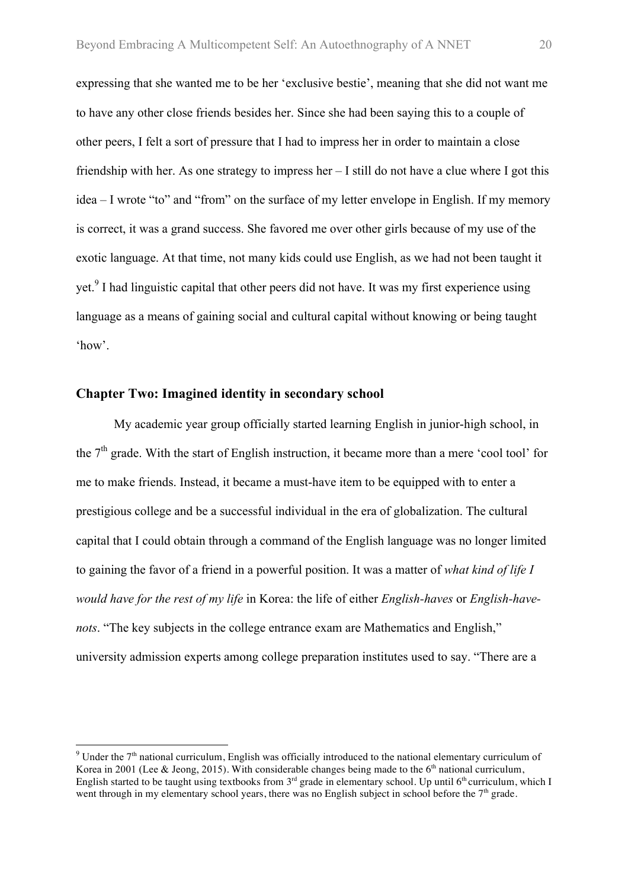expressing that she wanted me to be her 'exclusive bestie', meaning that she did not want me to have any other close friends besides her. Since she had been saying this to a couple of other peers, I felt a sort of pressure that I had to impress her in order to maintain a close friendship with her. As one strategy to impress her – I still do not have a clue where I got this idea – I wrote "to" and "from" on the surface of my letter envelope in English. If my memory is correct, it was a grand success. She favored me over other girls because of my use of the exotic language. At that time, not many kids could use English, as we had not been taught it yet.<sup>9</sup> I had linguistic capital that other peers did not have. It was my first experience using language as a means of gaining social and cultural capital without knowing or being taught 'how'.

#### **Chapter Two: Imagined identity in secondary school**

 

My academic year group officially started learning English in junior-high school, in the  $7<sup>th</sup>$  grade. With the start of English instruction, it became more than a mere 'cool tool' for me to make friends. Instead, it became a must-have item to be equipped with to enter a prestigious college and be a successful individual in the era of globalization. The cultural capital that I could obtain through a command of the English language was no longer limited to gaining the favor of a friend in a powerful position. It was a matter of *what kind of life I would have for the rest of my life* in Korea: the life of either *English-haves* or *English-havenots*. "The key subjects in the college entrance exam are Mathematics and English," university admission experts among college preparation institutes used to say. "There are a

 $9$  Under the  $7<sup>th</sup>$  national curriculum, English was officially introduced to the national elementary curriculum of Korea in 2001 (Lee & Jeong, 2015). With considerable changes being made to the  $6<sup>th</sup>$  national curriculum, English started to be taught using textbooks from  $3<sup>rd</sup>$  grade in elementary school. Up until  $6<sup>th</sup>$  curriculum, which I went through in my elementary school years, there was no English subject in school before the  $7<sup>th</sup>$  grade.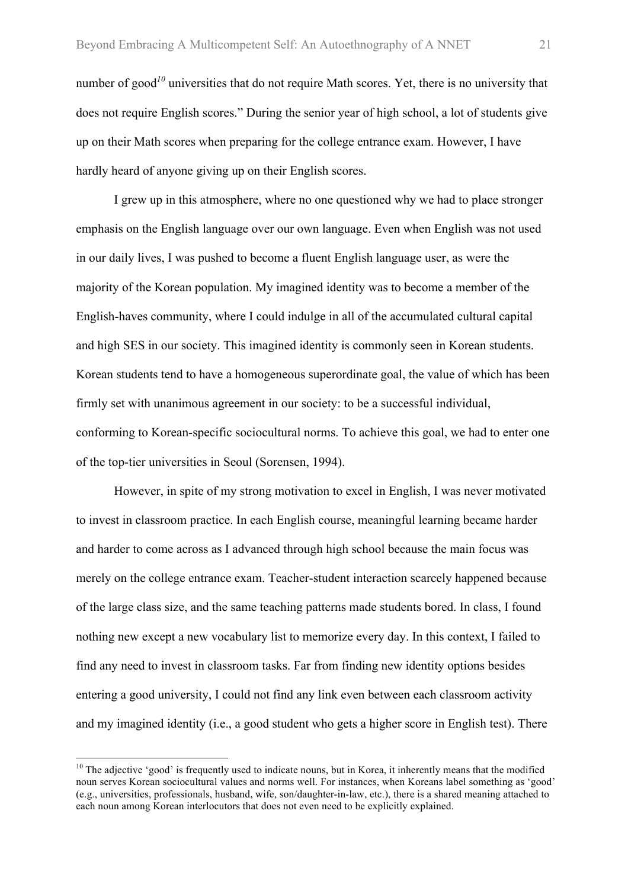number of good<sup>10</sup> universities that do not require Math scores. Yet, there is no university that does not require English scores." During the senior year of high school, a lot of students give up on their Math scores when preparing for the college entrance exam. However, I have hardly heard of anyone giving up on their English scores.

I grew up in this atmosphere, where no one questioned why we had to place stronger emphasis on the English language over our own language. Even when English was not used in our daily lives, I was pushed to become a fluent English language user, as were the majority of the Korean population. My imagined identity was to become a member of the English-haves community, where I could indulge in all of the accumulated cultural capital and high SES in our society. This imagined identity is commonly seen in Korean students. Korean students tend to have a homogeneous superordinate goal, the value of which has been firmly set with unanimous agreement in our society: to be a successful individual, conforming to Korean-specific sociocultural norms. To achieve this goal, we had to enter one of the top-tier universities in Seoul (Sorensen, 1994).

However, in spite of my strong motivation to excel in English, I was never motivated to invest in classroom practice. In each English course, meaningful learning became harder and harder to come across as I advanced through high school because the main focus was merely on the college entrance exam. Teacher-student interaction scarcely happened because of the large class size, and the same teaching patterns made students bored. In class, I found nothing new except a new vocabulary list to memorize every day. In this context, I failed to find any need to invest in classroom tasks. Far from finding new identity options besides entering a good university, I could not find any link even between each classroom activity and my imagined identity (i.e., a good student who gets a higher score in English test). There

 $10$  The adjective 'good' is frequently used to indicate nouns, but in Korea, it inherently means that the modified noun serves Korean sociocultural values and norms well. For instances, when Koreans label something as 'good' (e.g., universities, professionals, husband, wife, son/daughter-in-law, etc.), there is a shared meaning attached to each noun among Korean interlocutors that does not even need to be explicitly explained.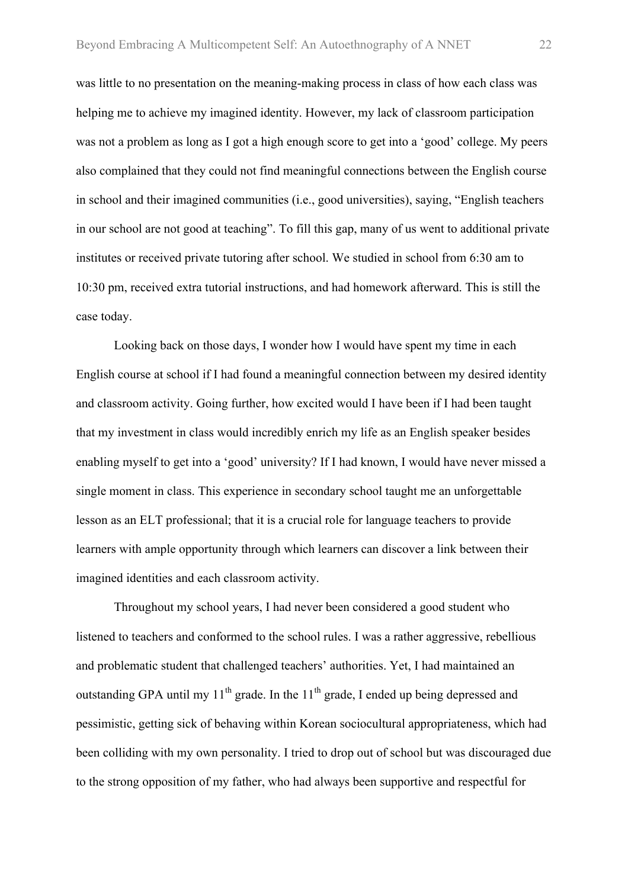was little to no presentation on the meaning-making process in class of how each class was helping me to achieve my imagined identity. However, my lack of classroom participation was not a problem as long as I got a high enough score to get into a 'good' college. My peers also complained that they could not find meaningful connections between the English course in school and their imagined communities (i.e., good universities), saying, "English teachers in our school are not good at teaching". To fill this gap, many of us went to additional private institutes or received private tutoring after school. We studied in school from 6:30 am to 10:30 pm, received extra tutorial instructions, and had homework afterward. This is still the case today.

Looking back on those days, I wonder how I would have spent my time in each English course at school if I had found a meaningful connection between my desired identity and classroom activity. Going further, how excited would I have been if I had been taught that my investment in class would incredibly enrich my life as an English speaker besides enabling myself to get into a 'good' university? If I had known, I would have never missed a single moment in class. This experience in secondary school taught me an unforgettable lesson as an ELT professional; that it is a crucial role for language teachers to provide learners with ample opportunity through which learners can discover a link between their imagined identities and each classroom activity.

Throughout my school years, I had never been considered a good student who listened to teachers and conformed to the school rules. I was a rather aggressive, rebellious and problematic student that challenged teachers' authorities. Yet, I had maintained an outstanding GPA until my  $11<sup>th</sup>$  grade. In the  $11<sup>th</sup>$  grade, I ended up being depressed and pessimistic, getting sick of behaving within Korean sociocultural appropriateness, which had been colliding with my own personality. I tried to drop out of school but was discouraged due to the strong opposition of my father, who had always been supportive and respectful for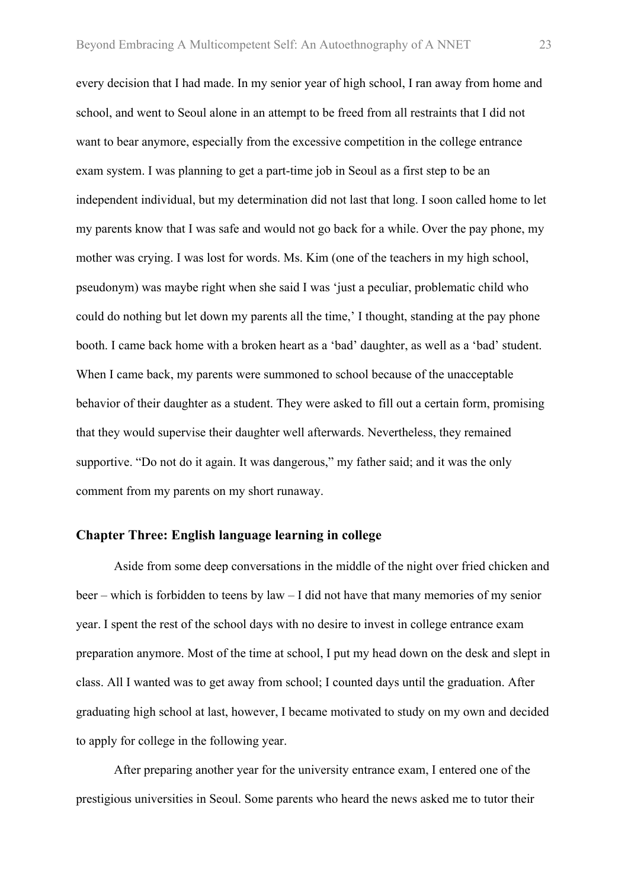every decision that I had made. In my senior year of high school, I ran away from home and school, and went to Seoul alone in an attempt to be freed from all restraints that I did not want to bear anymore, especially from the excessive competition in the college entrance exam system. I was planning to get a part-time job in Seoul as a first step to be an independent individual, but my determination did not last that long. I soon called home to let my parents know that I was safe and would not go back for a while. Over the pay phone, my mother was crying. I was lost for words. Ms. Kim (one of the teachers in my high school, pseudonym) was maybe right when she said I was 'just a peculiar, problematic child who could do nothing but let down my parents all the time,' I thought, standing at the pay phone booth. I came back home with a broken heart as a 'bad' daughter, as well as a 'bad' student. When I came back, my parents were summoned to school because of the unacceptable behavior of their daughter as a student. They were asked to fill out a certain form, promising that they would supervise their daughter well afterwards. Nevertheless, they remained supportive. "Do not do it again. It was dangerous," my father said; and it was the only comment from my parents on my short runaway.

#### **Chapter Three: English language learning in college**

Aside from some deep conversations in the middle of the night over fried chicken and beer – which is forbidden to teens by law – I did not have that many memories of my senior year. I spent the rest of the school days with no desire to invest in college entrance exam preparation anymore. Most of the time at school, I put my head down on the desk and slept in class. All I wanted was to get away from school; I counted days until the graduation. After graduating high school at last, however, I became motivated to study on my own and decided to apply for college in the following year.

After preparing another year for the university entrance exam, I entered one of the prestigious universities in Seoul. Some parents who heard the news asked me to tutor their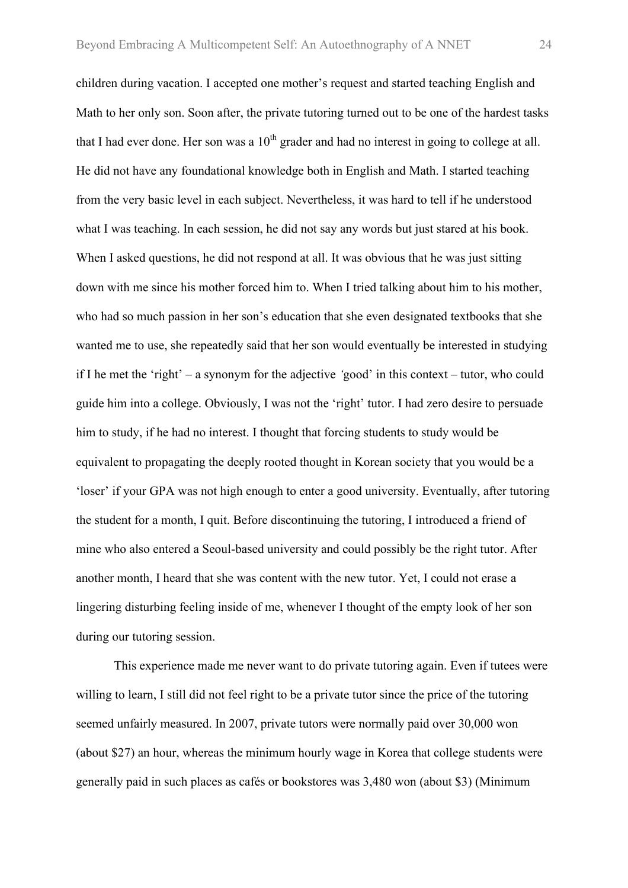children during vacation. I accepted one mother's request and started teaching English and Math to her only son. Soon after, the private tutoring turned out to be one of the hardest tasks that I had ever done. Her son was a  $10<sup>th</sup>$  grader and had no interest in going to college at all. He did not have any foundational knowledge both in English and Math. I started teaching from the very basic level in each subject. Nevertheless, it was hard to tell if he understood what I was teaching. In each session, he did not say any words but just stared at his book. When I asked questions, he did not respond at all. It was obvious that he was just sitting down with me since his mother forced him to. When I tried talking about him to his mother, who had so much passion in her son's education that she even designated textbooks that she wanted me to use, she repeatedly said that her son would eventually be interested in studying if I he met the 'right' *–* a synonym for the adjective *'*good' in this context *–* tutor, who could guide him into a college. Obviously, I was not the 'right' tutor. I had zero desire to persuade him to study, if he had no interest. I thought that forcing students to study would be equivalent to propagating the deeply rooted thought in Korean society that you would be a 'loser' if your GPA was not high enough to enter a good university. Eventually, after tutoring the student for a month, I quit. Before discontinuing the tutoring, I introduced a friend of mine who also entered a Seoul-based university and could possibly be the right tutor. After another month, I heard that she was content with the new tutor. Yet, I could not erase a lingering disturbing feeling inside of me, whenever I thought of the empty look of her son during our tutoring session.

This experience made me never want to do private tutoring again. Even if tutees were willing to learn. I still did not feel right to be a private tutor since the price of the tutoring seemed unfairly measured. In 2007, private tutors were normally paid over 30,000 won (about \$27) an hour, whereas the minimum hourly wage in Korea that college students were generally paid in such places as cafés or bookstores was 3,480 won (about \$3) (Minimum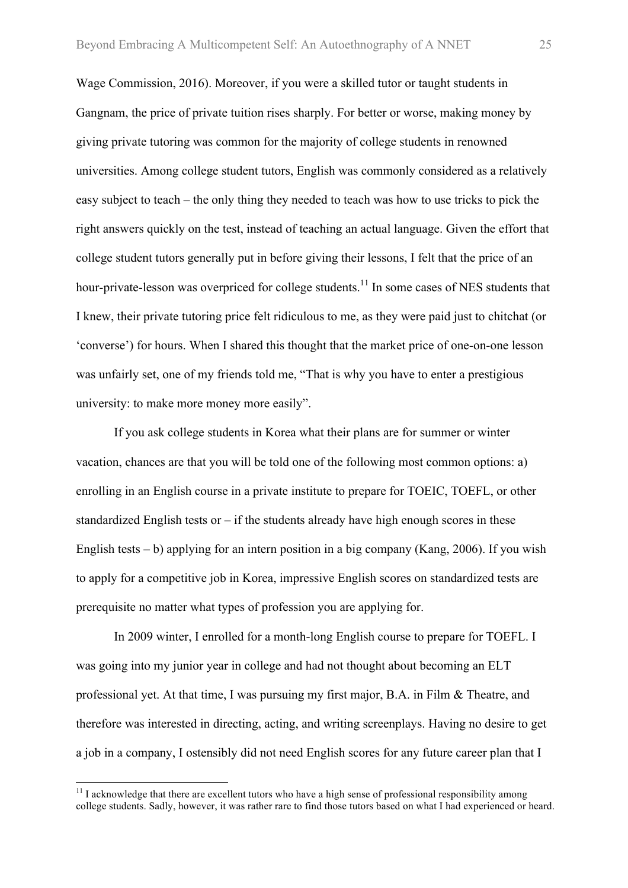Wage Commission, 2016). Moreover, if you were a skilled tutor or taught students in Gangnam, the price of private tuition rises sharply. For better or worse, making money by giving private tutoring was common for the majority of college students in renowned universities. Among college student tutors, English was commonly considered as a relatively easy subject to teach – the only thing they needed to teach was how to use tricks to pick the right answers quickly on the test, instead of teaching an actual language. Given the effort that college student tutors generally put in before giving their lessons, I felt that the price of an hour-private-lesson was overpriced for college students.<sup>11</sup> In some cases of NES students that I knew, their private tutoring price felt ridiculous to me, as they were paid just to chitchat (or 'converse') for hours. When I shared this thought that the market price of one-on-one lesson was unfairly set, one of my friends told me, "That is why you have to enter a prestigious university: to make more money more easily".

If you ask college students in Korea what their plans are for summer or winter vacation, chances are that you will be told one of the following most common options: a) enrolling in an English course in a private institute to prepare for TOEIC, TOEFL, or other standardized English tests or  $-$  if the students already have high enough scores in these English tests – b) applying for an intern position in a big company (Kang, 2006). If you wish to apply for a competitive job in Korea, impressive English scores on standardized tests are prerequisite no matter what types of profession you are applying for.

In 2009 winter, I enrolled for a month-long English course to prepare for TOEFL. I was going into my junior year in college and had not thought about becoming an ELT professional yet. At that time, I was pursuing my first major, B.A. in Film & Theatre, and therefore was interested in directing, acting, and writing screenplays. Having no desire to get a job in a company, I ostensibly did not need English scores for any future career plan that I

<sup>&</sup>lt;sup>11</sup> I acknowledge that there are excellent tutors who have a high sense of professional responsibility among college students. Sadly, however, it was rather rare to find those tutors based on what I had experienced or heard.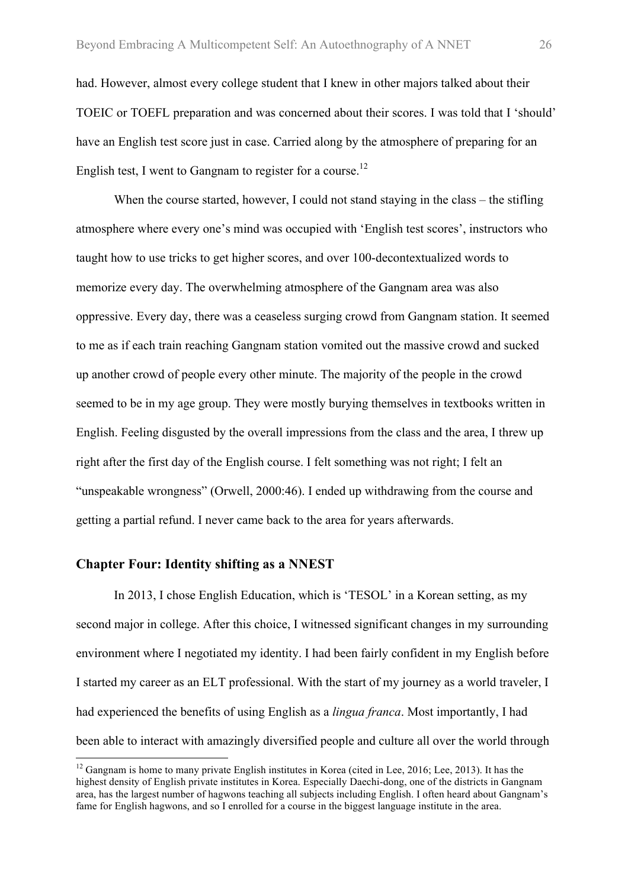had. However, almost every college student that I knew in other majors talked about their TOEIC or TOEFL preparation and was concerned about their scores. I was told that I 'should' have an English test score just in case. Carried along by the atmosphere of preparing for an English test, I went to Gangnam to register for a course.<sup>12</sup>

When the course started, however, I could not stand staying in the class – the stifling atmosphere where every one's mind was occupied with 'English test scores', instructors who taught how to use tricks to get higher scores, and over 100-decontextualized words to memorize every day. The overwhelming atmosphere of the Gangnam area was also oppressive. Every day, there was a ceaseless surging crowd from Gangnam station. It seemed to me as if each train reaching Gangnam station vomited out the massive crowd and sucked up another crowd of people every other minute. The majority of the people in the crowd seemed to be in my age group. They were mostly burying themselves in textbooks written in English. Feeling disgusted by the overall impressions from the class and the area, I threw up right after the first day of the English course. I felt something was not right; I felt an "unspeakable wrongness" (Orwell, 2000:46). I ended up withdrawing from the course and getting a partial refund. I never came back to the area for years afterwards.

#### **Chapter Four: Identity shifting as a NNEST**

In 2013, I chose English Education, which is 'TESOL' in a Korean setting, as my second major in college. After this choice, I witnessed significant changes in my surrounding environment where I negotiated my identity. I had been fairly confident in my English before I started my career as an ELT professional. With the start of my journey as a world traveler, I had experienced the benefits of using English as a *lingua franca*. Most importantly, I had been able to interact with amazingly diversified people and culture all over the world through

<sup>&</sup>lt;sup>12</sup> Gangnam is home to many private English institutes in Korea (cited in Lee, 2016; Lee, 2013). It has the highest density of English private institutes in Korea. Especially Daechi-dong, one of the districts in Gangnam area, has the largest number of hagwons teaching all subjects including English. I often heard about Gangnam's fame for English hagwons, and so I enrolled for a course in the biggest language institute in the area.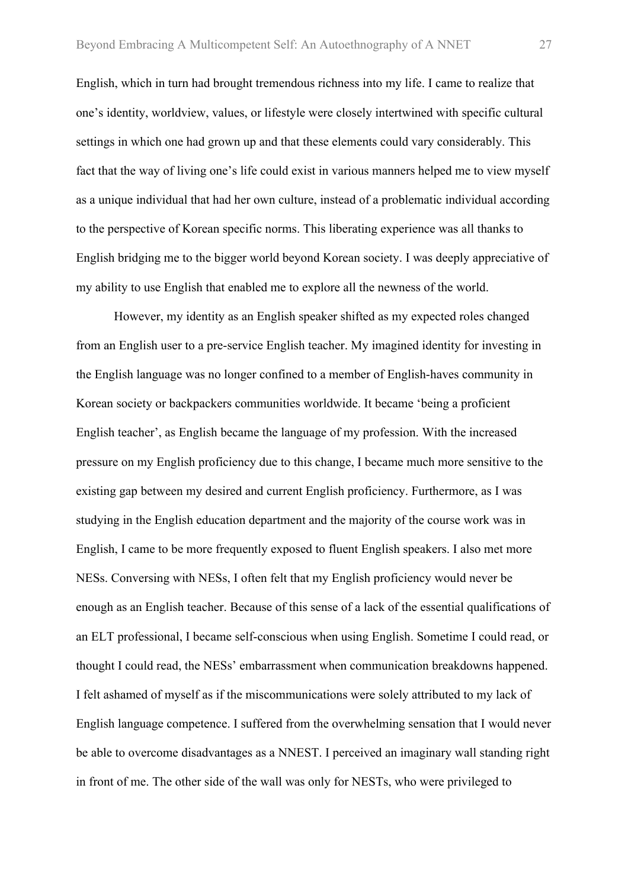English, which in turn had brought tremendous richness into my life. I came to realize that one's identity, worldview, values, or lifestyle were closely intertwined with specific cultural settings in which one had grown up and that these elements could vary considerably. This fact that the way of living one's life could exist in various manners helped me to view myself as a unique individual that had her own culture, instead of a problematic individual according to the perspective of Korean specific norms. This liberating experience was all thanks to English bridging me to the bigger world beyond Korean society. I was deeply appreciative of my ability to use English that enabled me to explore all the newness of the world.

However, my identity as an English speaker shifted as my expected roles changed from an English user to a pre-service English teacher. My imagined identity for investing in the English language was no longer confined to a member of English-haves community in Korean society or backpackers communities worldwide. It became 'being a proficient English teacher', as English became the language of my profession. With the increased pressure on my English proficiency due to this change, I became much more sensitive to the existing gap between my desired and current English proficiency. Furthermore, as I was studying in the English education department and the majority of the course work was in English, I came to be more frequently exposed to fluent English speakers. I also met more NESs. Conversing with NESs, I often felt that my English proficiency would never be enough as an English teacher. Because of this sense of a lack of the essential qualifications of an ELT professional, I became self-conscious when using English. Sometime I could read, or thought I could read, the NESs' embarrassment when communication breakdowns happened. I felt ashamed of myself as if the miscommunications were solely attributed to my lack of English language competence. I suffered from the overwhelming sensation that I would never be able to overcome disadvantages as a NNEST. I perceived an imaginary wall standing right in front of me. The other side of the wall was only for NESTs, who were privileged to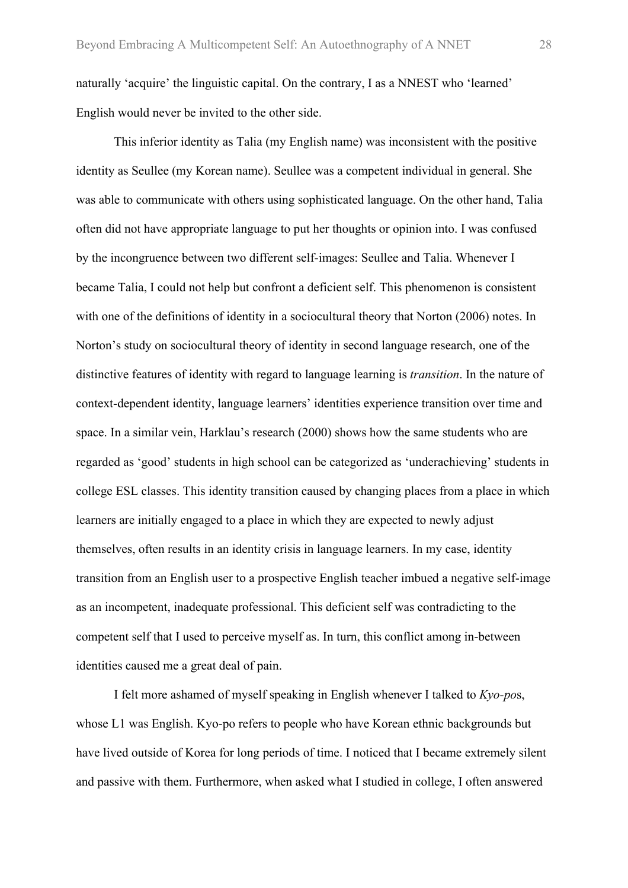naturally 'acquire' the linguistic capital. On the contrary, I as a NNEST who 'learned' English would never be invited to the other side.

This inferior identity as Talia (my English name) was inconsistent with the positive identity as Seullee (my Korean name). Seullee was a competent individual in general. She was able to communicate with others using sophisticated language. On the other hand, Talia often did not have appropriate language to put her thoughts or opinion into. I was confused by the incongruence between two different self-images: Seullee and Talia. Whenever I became Talia, I could not help but confront a deficient self. This phenomenon is consistent with one of the definitions of identity in a sociocultural theory that Norton (2006) notes. In Norton's study on sociocultural theory of identity in second language research, one of the distinctive features of identity with regard to language learning is *transition*. In the nature of context-dependent identity, language learners' identities experience transition over time and space. In a similar vein, Harklau's research (2000) shows how the same students who are regarded as 'good' students in high school can be categorized as 'underachieving' students in college ESL classes. This identity transition caused by changing places from a place in which learners are initially engaged to a place in which they are expected to newly adjust themselves, often results in an identity crisis in language learners. In my case, identity transition from an English user to a prospective English teacher imbued a negative self-image as an incompetent, inadequate professional. This deficient self was contradicting to the competent self that I used to perceive myself as. In turn, this conflict among in-between identities caused me a great deal of pain.

I felt more ashamed of myself speaking in English whenever I talked to *Kyo-po*s, whose L1 was English. Kyo-po refers to people who have Korean ethnic backgrounds but have lived outside of Korea for long periods of time. I noticed that I became extremely silent and passive with them. Furthermore, when asked what I studied in college, I often answered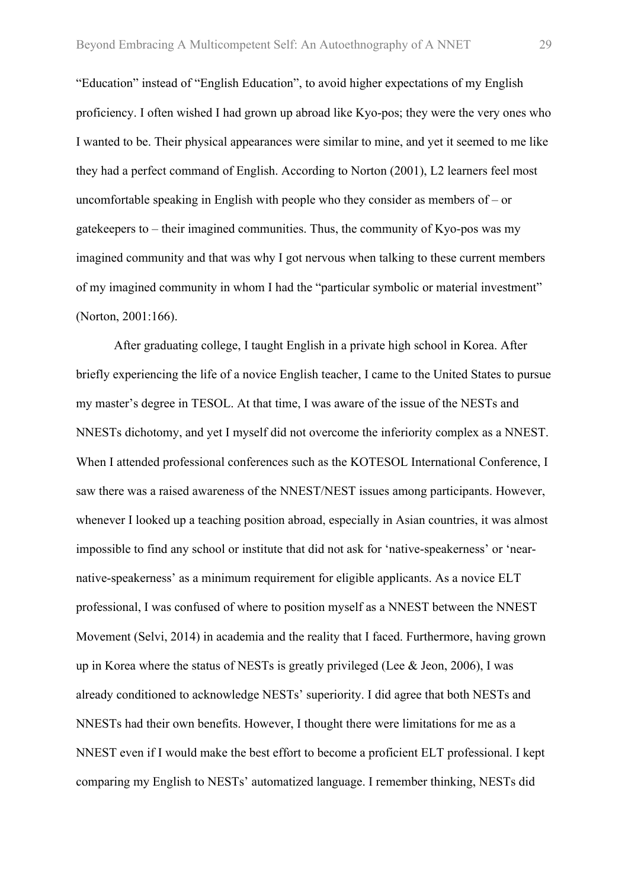"Education" instead of "English Education", to avoid higher expectations of my English proficiency. I often wished I had grown up abroad like Kyo-pos; they were the very ones who I wanted to be. Their physical appearances were similar to mine, and yet it seemed to me like they had a perfect command of English. According to Norton (2001), L2 learners feel most uncomfortable speaking in English with people who they consider as members of – or gatekeepers to – their imagined communities. Thus, the community of Kyo-pos was my imagined community and that was why I got nervous when talking to these current members of my imagined community in whom I had the "particular symbolic or material investment" (Norton, 2001:166).

After graduating college, I taught English in a private high school in Korea. After briefly experiencing the life of a novice English teacher, I came to the United States to pursue my master's degree in TESOL. At that time, I was aware of the issue of the NESTs and NNESTs dichotomy, and yet I myself did not overcome the inferiority complex as a NNEST. When I attended professional conferences such as the KOTESOL International Conference, I saw there was a raised awareness of the NNEST/NEST issues among participants. However, whenever I looked up a teaching position abroad, especially in Asian countries, it was almost impossible to find any school or institute that did not ask for 'native-speakerness' or 'nearnative-speakerness' as a minimum requirement for eligible applicants. As a novice ELT professional, I was confused of where to position myself as a NNEST between the NNEST Movement (Selvi, 2014) in academia and the reality that I faced. Furthermore, having grown up in Korea where the status of NESTs is greatly privileged (Lee & Jeon, 2006), I was already conditioned to acknowledge NESTs' superiority. I did agree that both NESTs and NNESTs had their own benefits. However, I thought there were limitations for me as a NNEST even if I would make the best effort to become a proficient ELT professional. I kept comparing my English to NESTs' automatized language. I remember thinking, NESTs did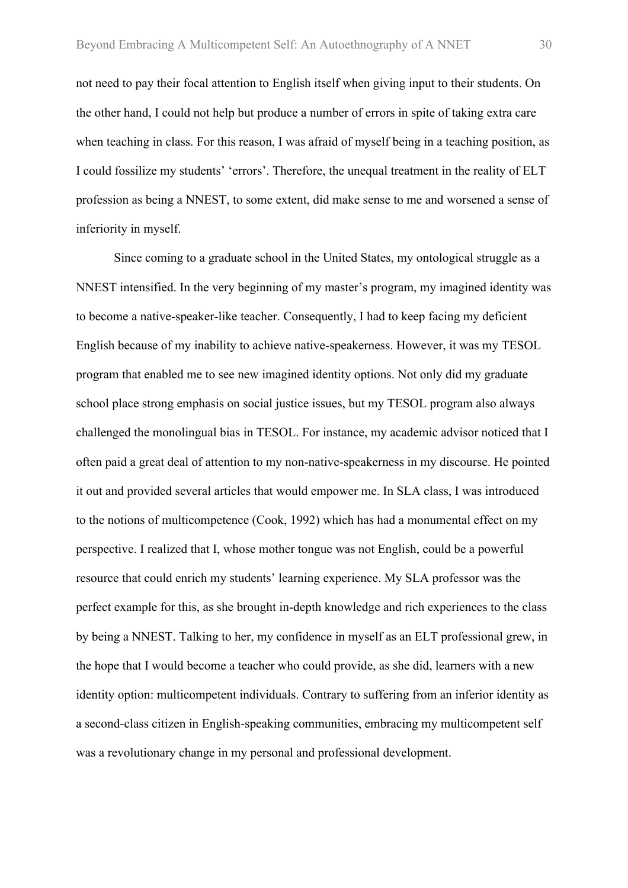not need to pay their focal attention to English itself when giving input to their students. On the other hand, I could not help but produce a number of errors in spite of taking extra care when teaching in class. For this reason, I was afraid of myself being in a teaching position, as I could fossilize my students' 'errors'. Therefore, the unequal treatment in the reality of ELT profession as being a NNEST, to some extent, did make sense to me and worsened a sense of inferiority in myself.

Since coming to a graduate school in the United States, my ontological struggle as a NNEST intensified. In the very beginning of my master's program, my imagined identity was to become a native-speaker-like teacher. Consequently, I had to keep facing my deficient English because of my inability to achieve native-speakerness. However, it was my TESOL program that enabled me to see new imagined identity options. Not only did my graduate school place strong emphasis on social justice issues, but my TESOL program also always challenged the monolingual bias in TESOL. For instance, my academic advisor noticed that I often paid a great deal of attention to my non-native-speakerness in my discourse. He pointed it out and provided several articles that would empower me. In SLA class, I was introduced to the notions of multicompetence (Cook, 1992) which has had a monumental effect on my perspective. I realized that I, whose mother tongue was not English, could be a powerful resource that could enrich my students' learning experience. My SLA professor was the perfect example for this, as she brought in-depth knowledge and rich experiences to the class by being a NNEST. Talking to her, my confidence in myself as an ELT professional grew, in the hope that I would become a teacher who could provide, as she did, learners with a new identity option: multicompetent individuals. Contrary to suffering from an inferior identity as a second-class citizen in English-speaking communities, embracing my multicompetent self was a revolutionary change in my personal and professional development.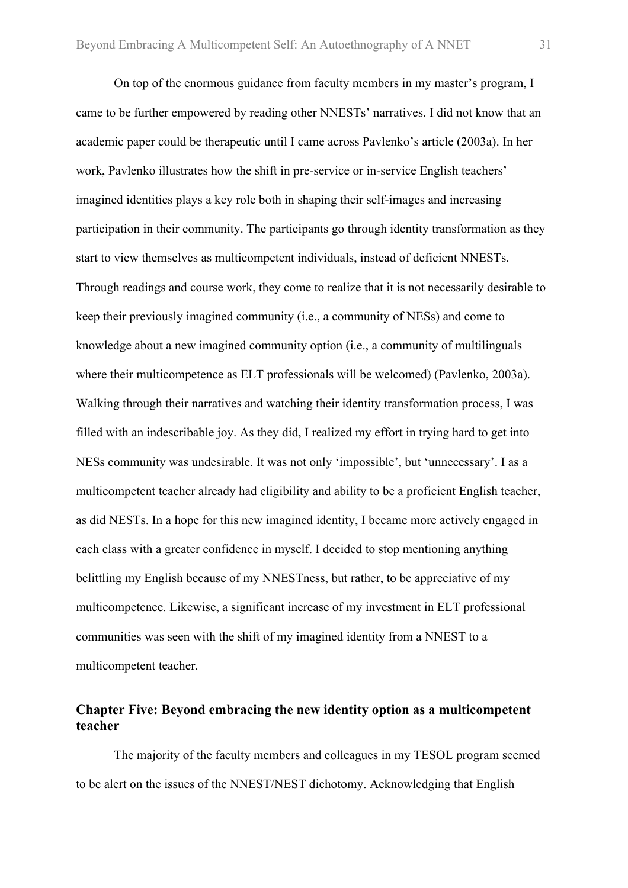On top of the enormous guidance from faculty members in my master's program, I came to be further empowered by reading other NNESTs' narratives. I did not know that an academic paper could be therapeutic until I came across Pavlenko's article (2003a). In her work, Pavlenko illustrates how the shift in pre-service or in-service English teachers' imagined identities plays a key role both in shaping their self-images and increasing participation in their community. The participants go through identity transformation as they start to view themselves as multicompetent individuals, instead of deficient NNESTs. Through readings and course work, they come to realize that it is not necessarily desirable to keep their previously imagined community (i.e., a community of NESs) and come to knowledge about a new imagined community option (i.e., a community of multilinguals where their multicompetence as ELT professionals will be welcomed) (Pavlenko, 2003a). Walking through their narratives and watching their identity transformation process, I was filled with an indescribable joy. As they did, I realized my effort in trying hard to get into NESs community was undesirable. It was not only 'impossible', but 'unnecessary'. I as a multicompetent teacher already had eligibility and ability to be a proficient English teacher, as did NESTs. In a hope for this new imagined identity, I became more actively engaged in each class with a greater confidence in myself. I decided to stop mentioning anything belittling my English because of my NNESTness, but rather, to be appreciative of my multicompetence. Likewise, a significant increase of my investment in ELT professional communities was seen with the shift of my imagined identity from a NNEST to a multicompetent teacher.

#### **Chapter Five: Beyond embracing the new identity option as a multicompetent teacher**

The majority of the faculty members and colleagues in my TESOL program seemed to be alert on the issues of the NNEST/NEST dichotomy. Acknowledging that English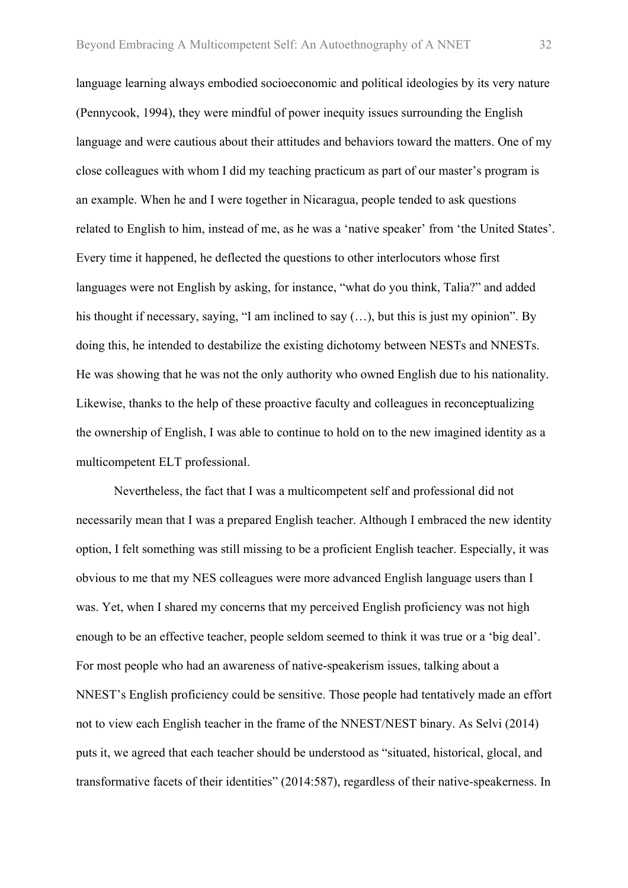language learning always embodied socioeconomic and political ideologies by its very nature (Pennycook, 1994), they were mindful of power inequity issues surrounding the English language and were cautious about their attitudes and behaviors toward the matters. One of my close colleagues with whom I did my teaching practicum as part of our master's program is an example. When he and I were together in Nicaragua, people tended to ask questions related to English to him, instead of me, as he was a 'native speaker' from 'the United States'. Every time it happened, he deflected the questions to other interlocutors whose first languages were not English by asking, for instance, "what do you think, Talia?" and added his thought if necessary, saying, "I am inclined to say  $(...)$ , but this is just my opinion". By doing this, he intended to destabilize the existing dichotomy between NESTs and NNESTs. He was showing that he was not the only authority who owned English due to his nationality. Likewise, thanks to the help of these proactive faculty and colleagues in reconceptualizing the ownership of English, I was able to continue to hold on to the new imagined identity as a multicompetent ELT professional.

Nevertheless, the fact that I was a multicompetent self and professional did not necessarily mean that I was a prepared English teacher. Although I embraced the new identity option, I felt something was still missing to be a proficient English teacher. Especially, it was obvious to me that my NES colleagues were more advanced English language users than I was. Yet, when I shared my concerns that my perceived English proficiency was not high enough to be an effective teacher, people seldom seemed to think it was true or a 'big deal'. For most people who had an awareness of native-speakerism issues, talking about a NNEST's English proficiency could be sensitive. Those people had tentatively made an effort not to view each English teacher in the frame of the NNEST/NEST binary. As Selvi (2014) puts it, we agreed that each teacher should be understood as "situated, historical, glocal, and transformative facets of their identities" (2014:587), regardless of their native-speakerness. In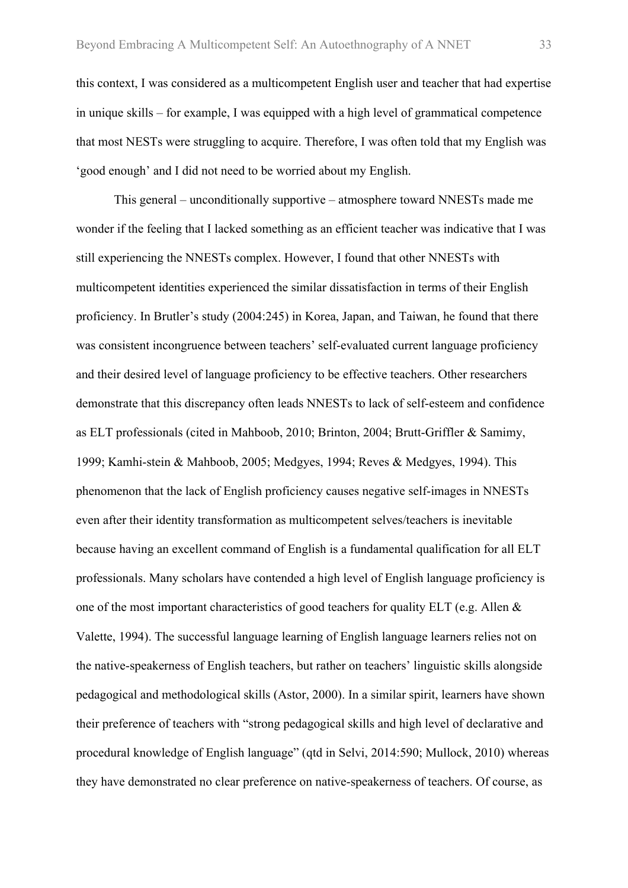this context, I was considered as a multicompetent English user and teacher that had expertise in unique skills – for example, I was equipped with a high level of grammatical competence that most NESTs were struggling to acquire. Therefore, I was often told that my English was 'good enough' and I did not need to be worried about my English.

This general – unconditionally supportive – atmosphere toward NNESTs made me wonder if the feeling that I lacked something as an efficient teacher was indicative that I was still experiencing the NNESTs complex. However, I found that other NNESTs with multicompetent identities experienced the similar dissatisfaction in terms of their English proficiency. In Brutler's study (2004:245) in Korea, Japan, and Taiwan, he found that there was consistent incongruence between teachers' self-evaluated current language proficiency and their desired level of language proficiency to be effective teachers. Other researchers demonstrate that this discrepancy often leads NNESTs to lack of self-esteem and confidence as ELT professionals (cited in Mahboob, 2010; Brinton, 2004; Brutt-Griffler & Samimy, 1999; Kamhi-stein & Mahboob, 2005; Medgyes, 1994; Reves & Medgyes, 1994). This phenomenon that the lack of English proficiency causes negative self-images in NNESTs even after their identity transformation as multicompetent selves/teachers is inevitable because having an excellent command of English is a fundamental qualification for all ELT professionals. Many scholars have contended a high level of English language proficiency is one of the most important characteristics of good teachers for quality ELT (e.g. Allen & Valette, 1994). The successful language learning of English language learners relies not on the native-speakerness of English teachers, but rather on teachers' linguistic skills alongside pedagogical and methodological skills (Astor, 2000). In a similar spirit, learners have shown their preference of teachers with "strong pedagogical skills and high level of declarative and procedural knowledge of English language" (qtd in Selvi, 2014:590; Mullock, 2010) whereas they have demonstrated no clear preference on native-speakerness of teachers. Of course, as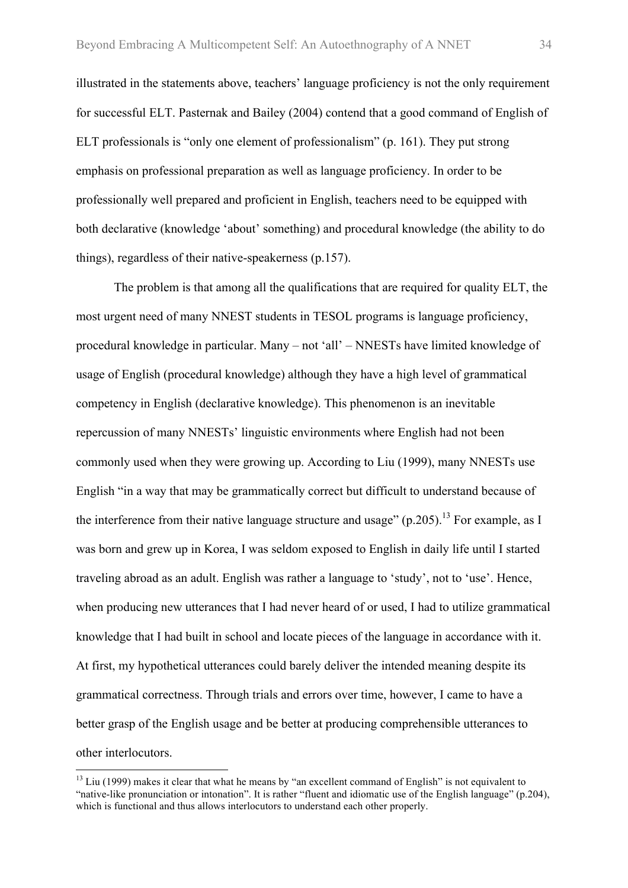illustrated in the statements above, teachers' language proficiency is not the only requirement for successful ELT. Pasternak and Bailey (2004) contend that a good command of English of ELT professionals is "only one element of professionalism" (p. 161). They put strong emphasis on professional preparation as well as language proficiency. In order to be professionally well prepared and proficient in English, teachers need to be equipped with both declarative (knowledge 'about' something) and procedural knowledge (the ability to do things), regardless of their native-speakerness (p.157).

The problem is that among all the qualifications that are required for quality ELT, the most urgent need of many NNEST students in TESOL programs is language proficiency, procedural knowledge in particular. Many – not 'all' – NNESTs have limited knowledge of usage of English (procedural knowledge) although they have a high level of grammatical competency in English (declarative knowledge). This phenomenon is an inevitable repercussion of many NNESTs' linguistic environments where English had not been commonly used when they were growing up. According to Liu (1999), many NNESTs use English "in a way that may be grammatically correct but difficult to understand because of the interference from their native language structure and usage"  $(p.205)$ .<sup>13</sup> For example, as I was born and grew up in Korea, I was seldom exposed to English in daily life until I started traveling abroad as an adult. English was rather a language to 'study', not to 'use'. Hence, when producing new utterances that I had never heard of or used, I had to utilize grammatical knowledge that I had built in school and locate pieces of the language in accordance with it. At first, my hypothetical utterances could barely deliver the intended meaning despite its grammatical correctness. Through trials and errors over time, however, I came to have a better grasp of the English usage and be better at producing comprehensible utterances to other interlocutors.

 $13$  Liu (1999) makes it clear that what he means by "an excellent command of English" is not equivalent to "native-like pronunciation or intonation". It is rather "fluent and idiomatic use of the English language" (p.204), which is functional and thus allows interlocutors to understand each other properly.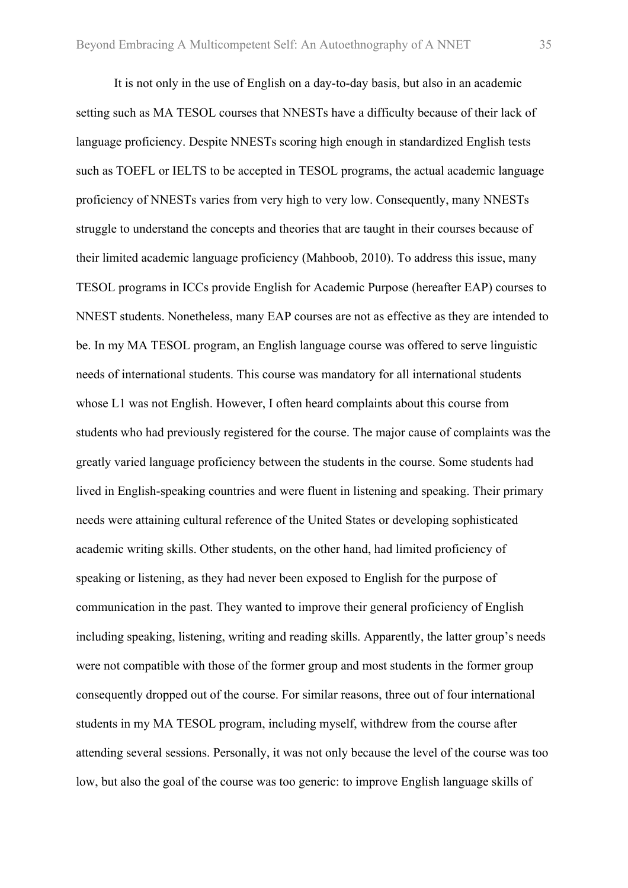It is not only in the use of English on a day-to-day basis, but also in an academic setting such as MA TESOL courses that NNESTs have a difficulty because of their lack of language proficiency. Despite NNESTs scoring high enough in standardized English tests such as TOEFL or IELTS to be accepted in TESOL programs, the actual academic language proficiency of NNESTs varies from very high to very low. Consequently, many NNESTs struggle to understand the concepts and theories that are taught in their courses because of their limited academic language proficiency (Mahboob, 2010). To address this issue, many TESOL programs in ICCs provide English for Academic Purpose (hereafter EAP) courses to NNEST students. Nonetheless, many EAP courses are not as effective as they are intended to be. In my MA TESOL program, an English language course was offered to serve linguistic needs of international students. This course was mandatory for all international students whose L1 was not English. However, I often heard complaints about this course from students who had previously registered for the course. The major cause of complaints was the greatly varied language proficiency between the students in the course. Some students had lived in English-speaking countries and were fluent in listening and speaking. Their primary needs were attaining cultural reference of the United States or developing sophisticated academic writing skills. Other students, on the other hand, had limited proficiency of speaking or listening, as they had never been exposed to English for the purpose of communication in the past. They wanted to improve their general proficiency of English including speaking, listening, writing and reading skills. Apparently, the latter group's needs were not compatible with those of the former group and most students in the former group consequently dropped out of the course. For similar reasons, three out of four international students in my MA TESOL program, including myself, withdrew from the course after attending several sessions. Personally, it was not only because the level of the course was too low, but also the goal of the course was too generic: to improve English language skills of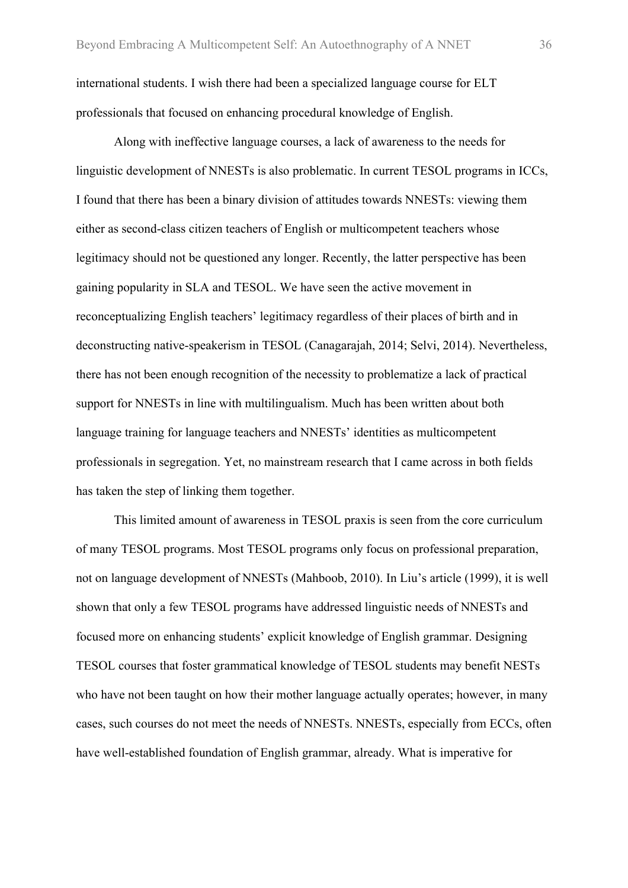international students. I wish there had been a specialized language course for ELT professionals that focused on enhancing procedural knowledge of English.

Along with ineffective language courses, a lack of awareness to the needs for linguistic development of NNESTs is also problematic. In current TESOL programs in ICCs, I found that there has been a binary division of attitudes towards NNESTs: viewing them either as second-class citizen teachers of English or multicompetent teachers whose legitimacy should not be questioned any longer. Recently, the latter perspective has been gaining popularity in SLA and TESOL. We have seen the active movement in reconceptualizing English teachers' legitimacy regardless of their places of birth and in deconstructing native-speakerism in TESOL (Canagarajah, 2014; Selvi, 2014). Nevertheless, there has not been enough recognition of the necessity to problematize a lack of practical support for NNESTs in line with multilingualism. Much has been written about both language training for language teachers and NNESTs' identities as multicompetent professionals in segregation. Yet, no mainstream research that I came across in both fields has taken the step of linking them together.

This limited amount of awareness in TESOL praxis is seen from the core curriculum of many TESOL programs. Most TESOL programs only focus on professional preparation, not on language development of NNESTs (Mahboob, 2010). In Liu's article (1999), it is well shown that only a few TESOL programs have addressed linguistic needs of NNESTs and focused more on enhancing students' explicit knowledge of English grammar. Designing TESOL courses that foster grammatical knowledge of TESOL students may benefit NESTs who have not been taught on how their mother language actually operates; however, in many cases, such courses do not meet the needs of NNESTs. NNESTs, especially from ECCs, often have well-established foundation of English grammar, already. What is imperative for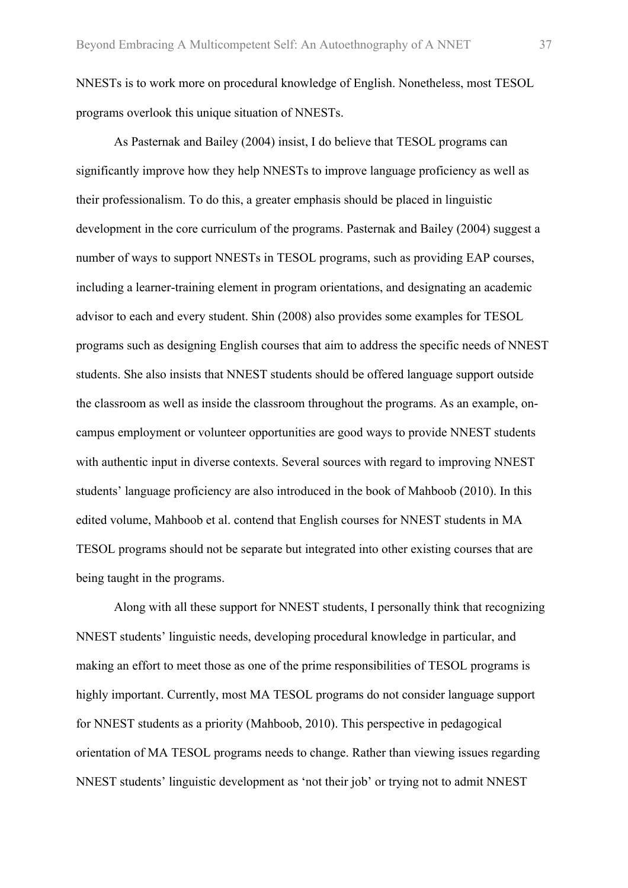NNESTs is to work more on procedural knowledge of English. Nonetheless, most TESOL programs overlook this unique situation of NNESTs.

As Pasternak and Bailey (2004) insist, I do believe that TESOL programs can significantly improve how they help NNESTs to improve language proficiency as well as their professionalism. To do this, a greater emphasis should be placed in linguistic development in the core curriculum of the programs. Pasternak and Bailey (2004) suggest a number of ways to support NNESTs in TESOL programs, such as providing EAP courses, including a learner-training element in program orientations, and designating an academic advisor to each and every student. Shin (2008) also provides some examples for TESOL programs such as designing English courses that aim to address the specific needs of NNEST students. She also insists that NNEST students should be offered language support outside the classroom as well as inside the classroom throughout the programs. As an example, oncampus employment or volunteer opportunities are good ways to provide NNEST students with authentic input in diverse contexts. Several sources with regard to improving NNEST students' language proficiency are also introduced in the book of Mahboob (2010). In this edited volume, Mahboob et al. contend that English courses for NNEST students in MA TESOL programs should not be separate but integrated into other existing courses that are being taught in the programs.

Along with all these support for NNEST students, I personally think that recognizing NNEST students' linguistic needs, developing procedural knowledge in particular, and making an effort to meet those as one of the prime responsibilities of TESOL programs is highly important. Currently, most MA TESOL programs do not consider language support for NNEST students as a priority (Mahboob, 2010). This perspective in pedagogical orientation of MA TESOL programs needs to change. Rather than viewing issues regarding NNEST students' linguistic development as 'not their job' or trying not to admit NNEST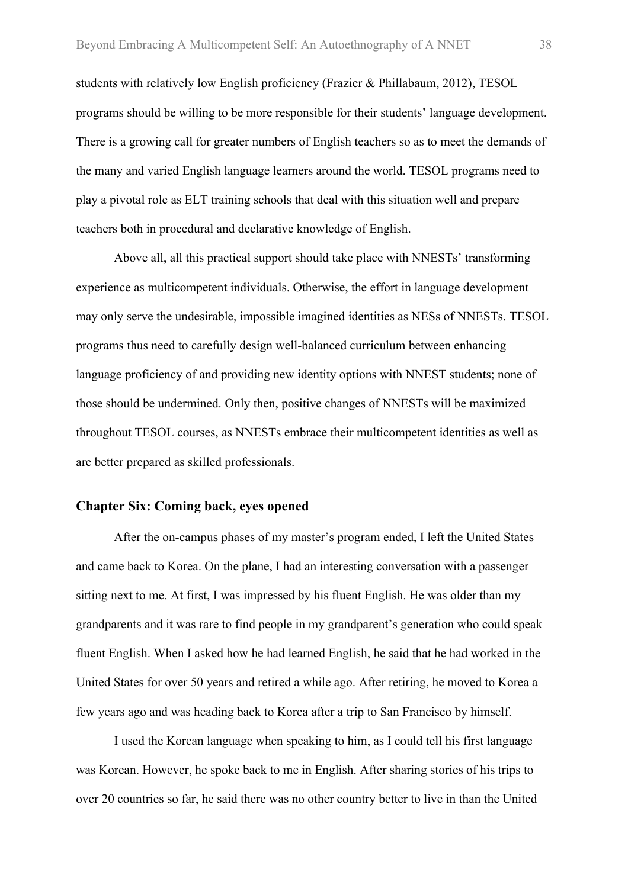students with relatively low English proficiency (Frazier & Phillabaum, 2012), TESOL programs should be willing to be more responsible for their students' language development. There is a growing call for greater numbers of English teachers so as to meet the demands of the many and varied English language learners around the world. TESOL programs need to play a pivotal role as ELT training schools that deal with this situation well and prepare teachers both in procedural and declarative knowledge of English.

Above all, all this practical support should take place with NNESTs' transforming experience as multicompetent individuals. Otherwise, the effort in language development may only serve the undesirable, impossible imagined identities as NESs of NNESTs. TESOL programs thus need to carefully design well-balanced curriculum between enhancing language proficiency of and providing new identity options with NNEST students; none of those should be undermined. Only then, positive changes of NNESTs will be maximized throughout TESOL courses, as NNESTs embrace their multicompetent identities as well as are better prepared as skilled professionals.

#### **Chapter Six: Coming back, eyes opened**

After the on-campus phases of my master's program ended, I left the United States and came back to Korea. On the plane, I had an interesting conversation with a passenger sitting next to me. At first, I was impressed by his fluent English. He was older than my grandparents and it was rare to find people in my grandparent's generation who could speak fluent English. When I asked how he had learned English, he said that he had worked in the United States for over 50 years and retired a while ago. After retiring, he moved to Korea a few years ago and was heading back to Korea after a trip to San Francisco by himself.

I used the Korean language when speaking to him, as I could tell his first language was Korean. However, he spoke back to me in English. After sharing stories of his trips to over 20 countries so far, he said there was no other country better to live in than the United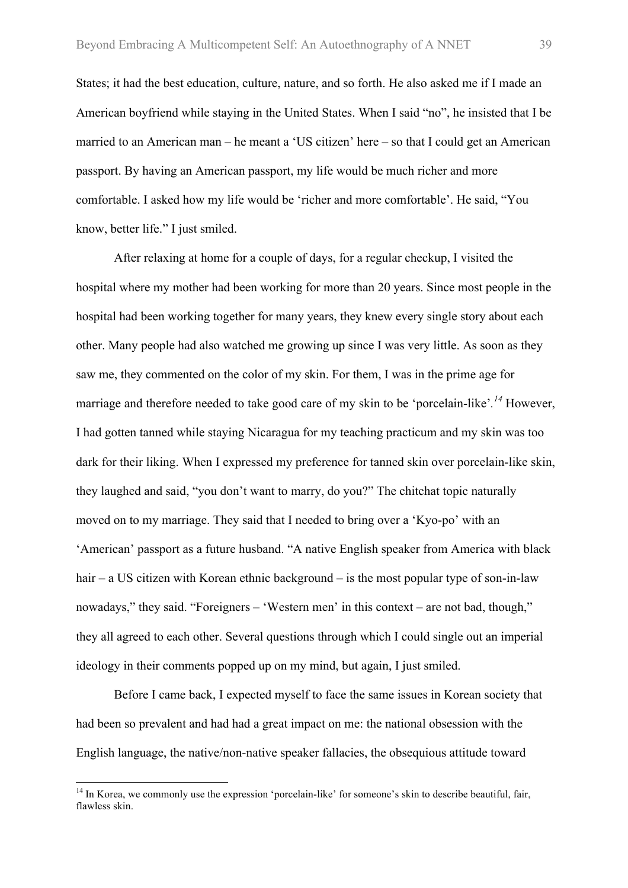States; it had the best education, culture, nature, and so forth. He also asked me if I made an American boyfriend while staying in the United States. When I said "no", he insisted that I be married to an American man – he meant a 'US citizen' here – so that I could get an American passport. By having an American passport, my life would be much richer and more comfortable. I asked how my life would be 'richer and more comfortable'. He said, "You know, better life." I just smiled.

After relaxing at home for a couple of days, for a regular checkup, I visited the hospital where my mother had been working for more than 20 years. Since most people in the hospital had been working together for many years, they knew every single story about each other. Many people had also watched me growing up since I was very little. As soon as they saw me, they commented on the color of my skin. For them, I was in the prime age for marriage and therefore needed to take good care of my skin to be 'porcelain-like'*. <sup>14</sup>* However, I had gotten tanned while staying Nicaragua for my teaching practicum and my skin was too dark for their liking. When I expressed my preference for tanned skin over porcelain-like skin, they laughed and said, "you don't want to marry, do you?" The chitchat topic naturally moved on to my marriage. They said that I needed to bring over a 'Kyo-po' with an 'American' passport as a future husband. "A native English speaker from America with black hair – a US citizen with Korean ethnic background – is the most popular type of son-in-law nowadays," they said. "Foreigners – 'Western men' in this context – are not bad, though," they all agreed to each other. Several questions through which I could single out an imperial ideology in their comments popped up on my mind, but again, I just smiled.

Before I came back, I expected myself to face the same issues in Korean society that had been so prevalent and had had a great impact on me: the national obsession with the English language, the native/non-native speaker fallacies, the obsequious attitude toward

<sup>&</sup>lt;sup>14</sup> In Korea, we commonly use the expression 'porcelain-like' for someone's skin to describe beautiful, fair, flawless skin.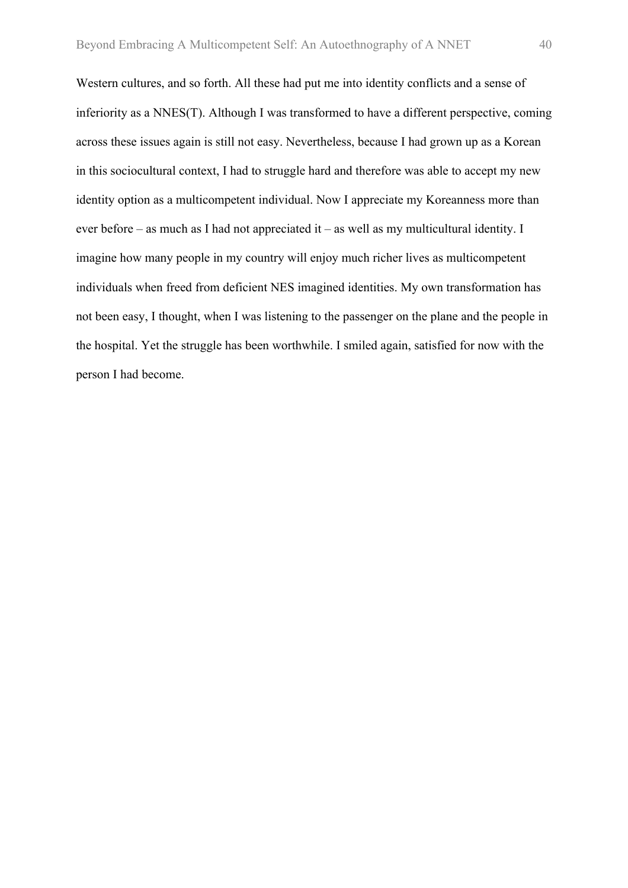Western cultures, and so forth. All these had put me into identity conflicts and a sense of inferiority as a NNES(T). Although I was transformed to have a different perspective, coming across these issues again is still not easy. Nevertheless, because I had grown up as a Korean in this sociocultural context, I had to struggle hard and therefore was able to accept my new identity option as a multicompetent individual. Now I appreciate my Koreanness more than ever before – as much as I had not appreciated it – as well as my multicultural identity. I imagine how many people in my country will enjoy much richer lives as multicompetent individuals when freed from deficient NES imagined identities. My own transformation has not been easy, I thought, when I was listening to the passenger on the plane and the people in the hospital. Yet the struggle has been worthwhile. I smiled again, satisfied for now with the person I had become.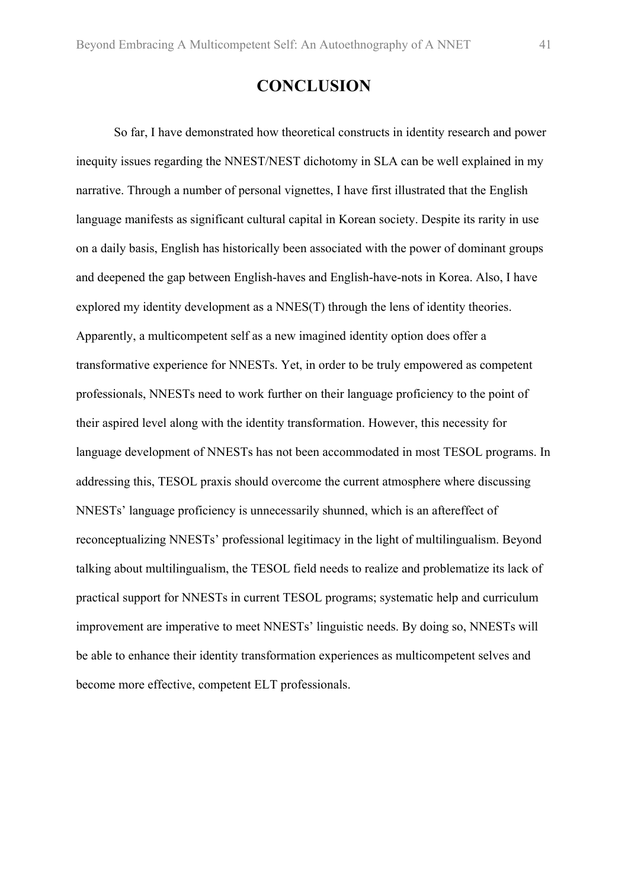## **CONCLUSION**

So far, I have demonstrated how theoretical constructs in identity research and power inequity issues regarding the NNEST/NEST dichotomy in SLA can be well explained in my narrative. Through a number of personal vignettes, I have first illustrated that the English language manifests as significant cultural capital in Korean society. Despite its rarity in use on a daily basis, English has historically been associated with the power of dominant groups and deepened the gap between English-haves and English-have-nots in Korea. Also, I have explored my identity development as a NNES(T) through the lens of identity theories. Apparently, a multicompetent self as a new imagined identity option does offer a transformative experience for NNESTs. Yet, in order to be truly empowered as competent professionals, NNESTs need to work further on their language proficiency to the point of their aspired level along with the identity transformation. However, this necessity for language development of NNESTs has not been accommodated in most TESOL programs. In addressing this, TESOL praxis should overcome the current atmosphere where discussing NNESTs' language proficiency is unnecessarily shunned, which is an aftereffect of reconceptualizing NNESTs' professional legitimacy in the light of multilingualism. Beyond talking about multilingualism, the TESOL field needs to realize and problematize its lack of practical support for NNESTs in current TESOL programs; systematic help and curriculum improvement are imperative to meet NNESTs' linguistic needs. By doing so, NNESTs will be able to enhance their identity transformation experiences as multicompetent selves and become more effective, competent ELT professionals.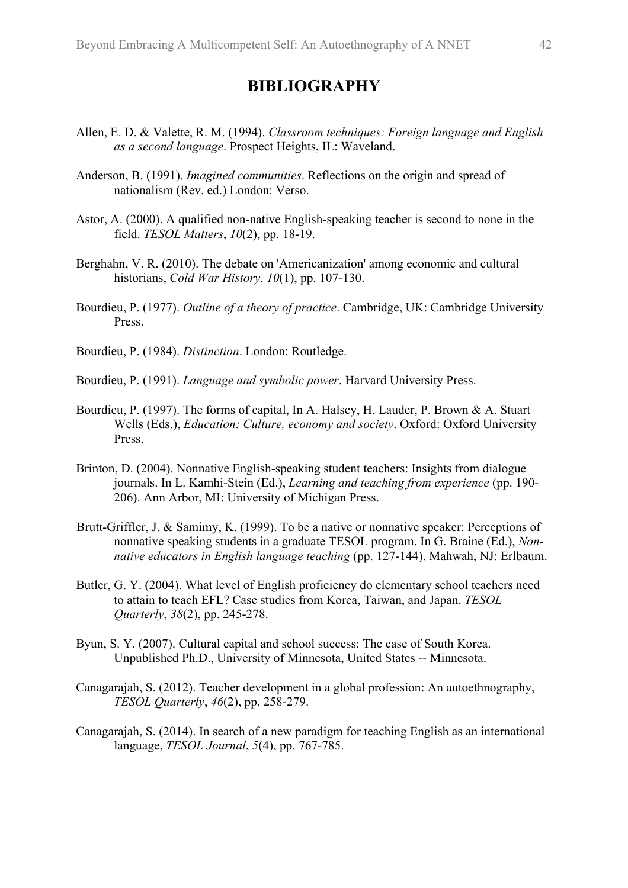## **BIBLIOGRAPHY**

- Allen, E. D. & Valette, R. M. (1994). *Classroom techniques: Foreign language and English as a second language*. Prospect Heights, IL: Waveland.
- Anderson, B. (1991). *Imagined communities*. Reflections on the origin and spread of nationalism (Rev. ed.) London: Verso.
- Astor, A. (2000). A qualified non-native English-speaking teacher is second to none in the field. *TESOL Matters*, *10*(2), pp. 18-19.
- Berghahn, V. R. (2010). The debate on 'Americanization' among economic and cultural historians, *Cold War History*. *10*(1), pp. 107-130.
- Bourdieu, P. (1977). *Outline of a theory of practice*. Cambridge, UK: Cambridge University Press.

Bourdieu, P. (1984). *Distinction*. London: Routledge.

Bourdieu, P. (1991). *Language and symbolic power*. Harvard University Press.

- Bourdieu, P. (1997). The forms of capital, In A. Halsey, H. Lauder, P. Brown & A. Stuart Wells (Eds.), *Education: Culture, economy and society*. Oxford: Oxford University **Press**.
- Brinton, D. (2004). Nonnative English-speaking student teachers: Insights from dialogue journals. In L. Kamhi-Stein (Ed.), *Learning and teaching from experience* (pp. 190- 206). Ann Arbor, MI: University of Michigan Press.
- Brutt-Griffler, J. & Samimy, K. (1999). To be a native or nonnative speaker: Perceptions of nonnative speaking students in a graduate TESOL program. In G. Braine (Ed.), *Nonnative educators in English language teaching* (pp. 127-144). Mahwah, NJ: Erlbaum.
- Butler, G. Y. (2004). What level of English proficiency do elementary school teachers need to attain to teach EFL? Case studies from Korea, Taiwan, and Japan. *TESOL Quarterly*, *38*(2), pp. 245-278.
- Byun, S. Y. (2007). Cultural capital and school success: The case of South Korea. Unpublished Ph.D., University of Minnesota, United States -- Minnesota.
- Canagarajah, S. (2012). Teacher development in a global profession: An autoethnography, *TESOL Quarterly*, *46*(2), pp. 258-279.
- Canagarajah, S. (2014). In search of a new paradigm for teaching English as an international language, *TESOL Journal*, *5*(4), pp. 767-785.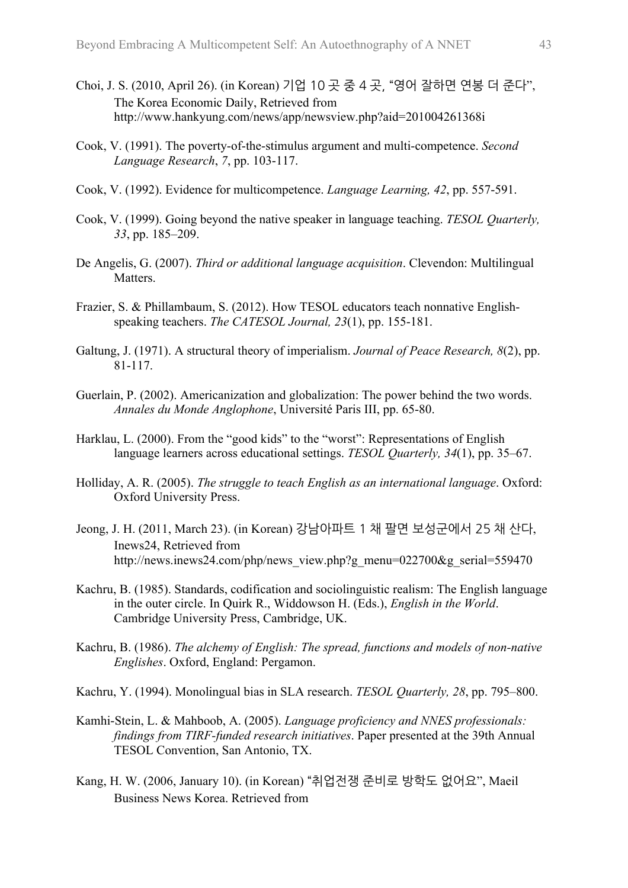- Choi, J. S. (2010, April 26). (in Korean) 기업 10 곳 중 4 곳,"영어 잘하면 연봉 더 준다", The Korea Economic Daily, Retrieved from http://www.hankyung.com/news/app/newsview.php?aid=201004261368i
- Cook, V. (1991). The poverty-of-the-stimulus argument and multi-competence. *Second Language Research*, *7*, pp. 103-117.
- Cook, V. (1992). Evidence for multicompetence. *Language Learning, 42*, pp. 557-591.
- Cook, V. (1999). Going beyond the native speaker in language teaching. *TESOL Quarterly, 33*, pp. 185–209.
- De Angelis, G. (2007). *Third or additional language acquisition*. Clevendon: Multilingual Matters.
- Frazier, S. & Phillambaum, S. (2012). How TESOL educators teach nonnative Englishspeaking teachers. *The CATESOL Journal, 23*(1), pp. 155-181.
- Galtung, J. (1971). A structural theory of imperialism. *Journal of Peace Research, 8*(2), pp. 81-117.
- Guerlain, P. (2002). Americanization and globalization: The power behind the two words. *Annales du Monde Anglophone*, Université Paris III, pp. 65-80.
- Harklau, L. (2000). From the "good kids" to the "worst": Representations of English language learners across educational settings. *TESOL Quarterly, 34*(1), pp. 35–67.
- Holliday, A. R. (2005). *The struggle to teach English as an international language*. Oxford: Oxford University Press.
- Jeong, J. H. (2011, March 23). (in Korean) 강남아파트 1 채 팔면 보성군에서 25 채 산다, Inews24, Retrieved from http://news.inews24.com/php/news\_view.php?g\_menu=022700&g\_serial=559470
- Kachru, B. (1985). Standards, codification and sociolinguistic realism: The English language in the outer circle. In Quirk R., Widdowson H. (Eds.), *English in the World*. Cambridge University Press, Cambridge, UK.
- Kachru, B. (1986). *The alchemy of English: The spread, functions and models of non-native Englishes*. Oxford, England: Pergamon.
- Kachru, Y. (1994). Monolingual bias in SLA research. *TESOL Quarterly, 28*, pp. 795–800.
- Kamhi-Stein, L. & Mahboob, A. (2005). *Language proficiency and NNES professionals: findings from TIRF-funded research initiatives*. Paper presented at the 39th Annual TESOL Convention, San Antonio, TX.
- Kang, H. W. (2006, January 10). (in Korean) "취업전쟁 준비로 방학도 없어요", Maeil Business News Korea. Retrieved from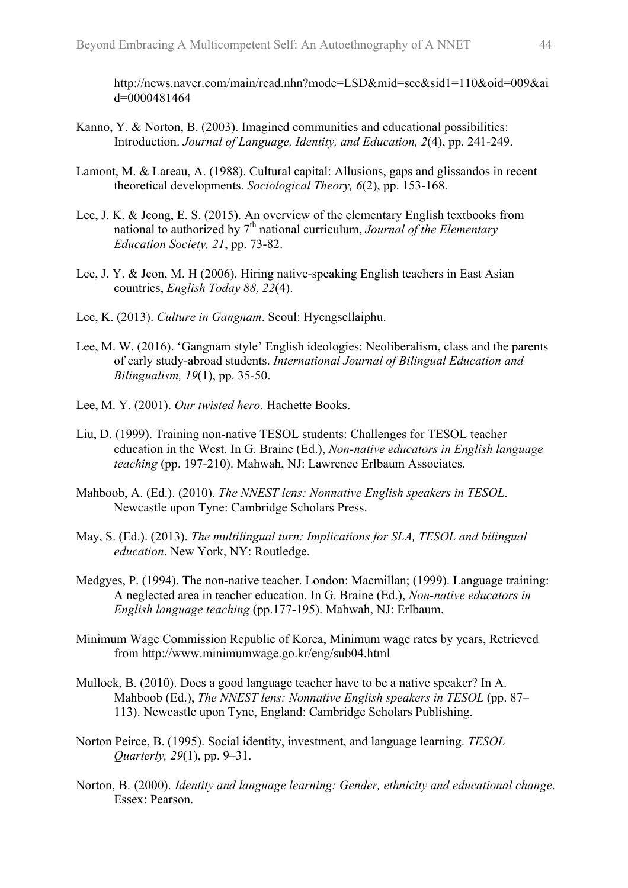http://news.naver.com/main/read.nhn?mode=LSD&mid=sec&sid1=110&oid=009&ai d=0000481464

- Kanno, Y. & Norton, B. (2003). Imagined communities and educational possibilities: Introduction. *Journal of Language, Identity, and Education, 2*(4), pp. 241-249.
- Lamont, M. & Lareau, A. (1988). Cultural capital: Allusions, gaps and glissandos in recent theoretical developments. *Sociological Theory, 6*(2), pp. 153-168.
- Lee, J. K. & Jeong, E. S. (2015). An overview of the elementary English textbooks from national to authorized by 7<sup>th</sup> national curriculum, *Journal of the Elementary Education Society, 21*, pp. 73-82.
- Lee, J. Y. & Jeon, M. H (2006). Hiring native-speaking English teachers in East Asian countries, *English Today 88, 22*(4).
- Lee, K. (2013). *Culture in Gangnam*. Seoul: Hyengsellaiphu.
- Lee, M. W. (2016). 'Gangnam style' English ideologies: Neoliberalism, class and the parents of early study-abroad students. *International Journal of Bilingual Education and Bilingualism, 19*(1), pp. 35-50.
- Lee, M. Y. (2001). *Our twisted hero*. Hachette Books.
- Liu, D. (1999). Training non-native TESOL students: Challenges for TESOL teacher education in the West. In G. Braine (Ed.), *Non-native educators in English language teaching* (pp. 197-210). Mahwah, NJ: Lawrence Erlbaum Associates.
- Mahboob, A. (Ed.). (2010). *The NNEST lens: Nonnative English speakers in TESOL*. Newcastle upon Tyne: Cambridge Scholars Press.
- May, S. (Ed.). (2013). *The multilingual turn: Implications for SLA, TESOL and bilingual education*. New York, NY: Routledge.
- Medgyes, P. (1994). The non-native teacher. London: Macmillan; (1999). Language training: A neglected area in teacher education. In G. Braine (Ed.), *Non-native educators in English language teaching* (pp.177-195). Mahwah, NJ: Erlbaum.
- Minimum Wage Commission Republic of Korea, Minimum wage rates by years, Retrieved from http://www.minimumwage.go.kr/eng/sub04.html
- Mullock, B. (2010). Does a good language teacher have to be a native speaker? In A. Mahboob (Ed.), *The NNEST lens: Nonnative English speakers in TESOL* (pp. 87– 113). Newcastle upon Tyne, England: Cambridge Scholars Publishing.
- Norton Peirce, B. (1995). Social identity, investment, and language learning. *TESOL Quarterly, 29*(1), pp. 9–31.
- Norton, B. (2000). *Identity and language learning: Gender, ethnicity and educational change*. Essex: Pearson.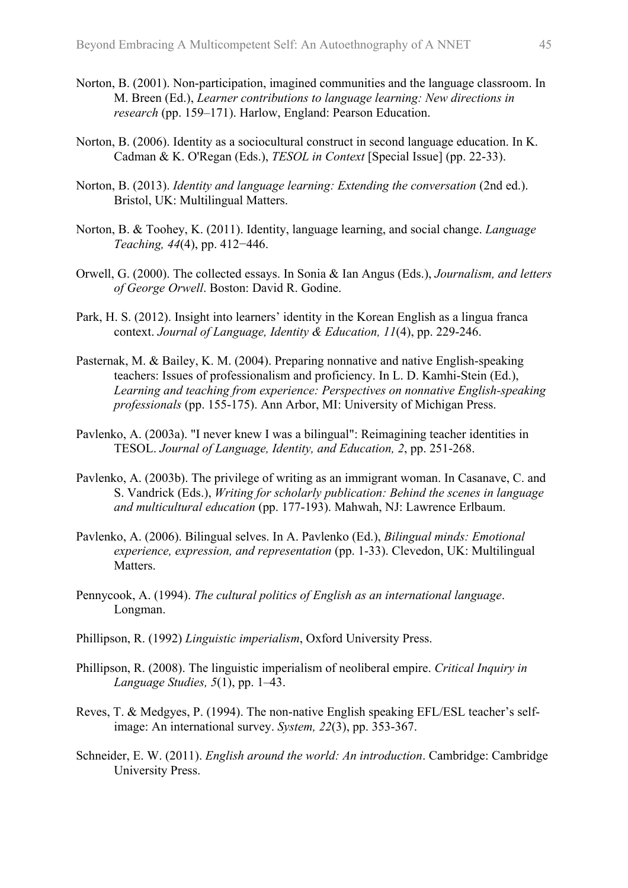- Norton, B. (2001). Non-participation, imagined communities and the language classroom. In M. Breen (Ed.), *Learner contributions to language learning: New directions in research* (pp. 159–171). Harlow, England: Pearson Education.
- Norton, B. (2006). Identity as a sociocultural construct in second language education. In K. Cadman & K. O'Regan (Eds.), *TESOL in Context* [Special Issue] (pp. 22-33).
- Norton, B. (2013). *Identity and language learning: Extending the conversation* (2nd ed.). Bristol, UK: Multilingual Matters.
- Norton, B. & Toohey, K. (2011). Identity, language learning, and social change. *Language Teaching, 44*(4), pp. 412−446.
- Orwell, G. (2000). The collected essays. In Sonia & Ian Angus (Eds.), *Journalism, and letters of George Orwell*. Boston: David R. Godine.
- Park, H. S. (2012). Insight into learners' identity in the Korean English as a lingua franca context. *Journal of Language, Identity & Education, 11*(4), pp. 229-246.
- Pasternak, M. & Bailey, K. M. (2004). Preparing nonnative and native English-speaking teachers: Issues of professionalism and proficiency. In L. D. Kamhi-Stein (Ed.), *Learning and teaching from experience: Perspectives on nonnative English-speaking professionals* (pp. 155-175). Ann Arbor, MI: University of Michigan Press.
- Pavlenko, A. (2003a). "I never knew I was a bilingual": Reimagining teacher identities in TESOL. *Journal of Language, Identity, and Education, 2*, pp. 251-268.
- Pavlenko, A. (2003b). The privilege of writing as an immigrant woman. In Casanave, C. and S. Vandrick (Eds.), *Writing for scholarly publication: Behind the scenes in language and multicultural education* (pp. 177-193). Mahwah, NJ: Lawrence Erlbaum.
- Pavlenko, A. (2006). Bilingual selves. In A. Pavlenko (Ed.), *Bilingual minds: Emotional experience, expression, and representation* (pp. 1-33). Clevedon, UK: Multilingual Matters.
- Pennycook, A. (1994). *The cultural politics of English as an international language*. Longman.
- Phillipson, R. (1992) *Linguistic imperialism*, Oxford University Press.
- Phillipson, R. (2008). The linguistic imperialism of neoliberal empire. *Critical Inquiry in Language Studies, 5*(1), pp. 1–43.
- Reves, T. & Medgyes, P. (1994). The non-native English speaking EFL/ESL teacher's selfimage: An international survey. *System, 22*(3), pp. 353-367.
- Schneider, E. W. (2011). *English around the world: An introduction*. Cambridge: Cambridge University Press.